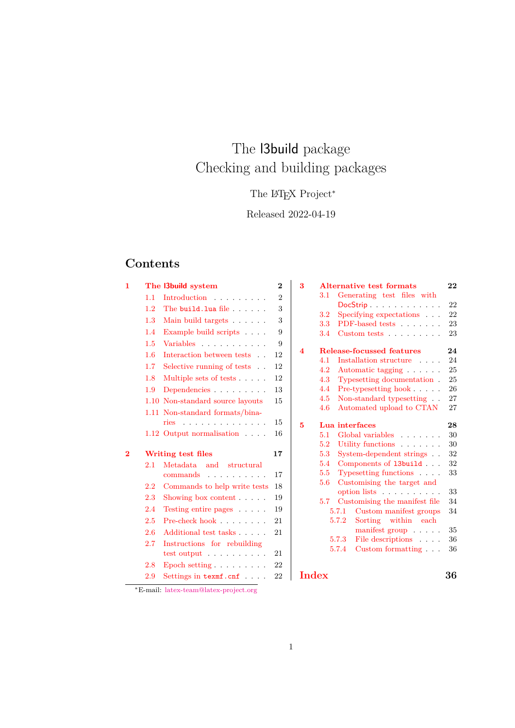# The l3build package Checking and building packages

## The L<sup>AT</sup>EX Project<sup>\*</sup>

## Released 2022-04-19

## **Contents**

| 1                  |         | The 3build system                     | $\mathbf 2$    |  |
|--------------------|---------|---------------------------------------|----------------|--|
|                    | 1.1     | Introduction                          | $\overline{2}$ |  |
|                    | 1.2     | The build. lua file $\ldots$ .        | 3              |  |
|                    | 1.3     | Main build targets                    | 3              |  |
|                    | 1.4     | Example build scripts $\ . \ . \ .$ . | 9              |  |
|                    | 1.5     | Variables                             | 9              |  |
|                    | 1.6     | Interaction between tests             | 12             |  |
|                    | 1.7     | Selective running of tests            | 12             |  |
|                    | 1.8     | Multiple sets of tests                | 12             |  |
|                    | 1.9     | Dependencies                          | 13             |  |
|                    |         | 1.10 Non-standard source layouts      | 15             |  |
|                    |         | 1.11 Non-standard formats/bina-       |                |  |
|                    |         | ries                                  | 15             |  |
|                    |         | $1.12$ Output normalisation $\ldots$  | 16             |  |
|                    |         |                                       |                |  |
| $\overline{\bf 2}$ |         | Writing test files                    | 17             |  |
|                    | $2.1 -$ | Metadata and structural               |                |  |
|                    |         | commands<br><u>.</u>                  | 17             |  |
|                    | 2.2     | Commands to help write tests          | 18             |  |
|                    | 2.3     | Showing box content $\ldots$ .        | 19             |  |
|                    | 2.4     | Testing entire pages                  | 19             |  |
|                    | 2.5     | Pre-check hook                        | 21             |  |
|                    | 2.6     | Additional test tasks                 | 21             |  |
|                    | 2.7     | Instructions for rebuilding           |                |  |
|                    |         | test output                           | 21             |  |
|                    | 2.8     | Epoch setting $\ldots \ldots \ldots$  | 22             |  |
|                    | 2.9     | Settings in $\tt termf.cnf \ldots$ .  | 22             |  |

| 3     |         |       | <b>Alternative test formats</b>                   | 22 |
|-------|---------|-------|---------------------------------------------------|----|
|       | $3.1\,$ |       | Generating test files with                        |    |
|       |         |       | DocStrip                                          | 22 |
|       | 3.2     |       | Specifying expectations                           | 22 |
|       | 3.3     |       | PDF-based tests                                   | 23 |
|       | 3.4     |       | $\text{Customer tests} \dots \dots \dots$         | 23 |
| 4     |         |       | Release-focussed features                         | 24 |
|       | 4.1     |       | Installation structure                            | 24 |
|       | 4.2     |       | Automatic tagging                                 | 25 |
|       | 4.3     |       | Typesetting documentation.                        | 25 |
|       | 4.4     |       | Pre-type<br>setting hook $\ldots \ldots$ .        | 26 |
|       | 4.5     |       | Non-standard typesetting                          | 27 |
|       | 4.6     |       | Automated upload to CTAN                          | 27 |
| 5     |         |       | Lua interfaces                                    | 28 |
|       | 5.1     |       | Global variables<br>and the state of the state of | 30 |
|       | 5.2     |       | Utility functions                                 | 30 |
|       | 5.3     |       | System-dependent strings                          | 32 |
|       | 5.4     |       | Components of 13build                             | 32 |
|       | 5.5     |       | Typesetting functions                             | 33 |
|       | 5.6     |       | Customising the target and                        |    |
|       |         |       | option lists                                      | 33 |
|       | 5.7     |       | Customising the manifest file                     | 34 |
|       |         | 5.7.1 | Custom manifest groups                            | 34 |
|       |         | 5.7.2 | Sorting within each                               |    |
|       |         |       | manifest group $\ldots$ .                         | 35 |
|       |         | 5.7.3 | File descriptions                                 | 36 |
|       |         | 5.7.4 | Custom formatting                                 | 36 |
|       |         |       |                                                   |    |
| Index |         |       |                                                   | 36 |

<sup>∗</sup>E-mail: [latex-team@latex-project.org](mailto:latex-team@latex-project.org)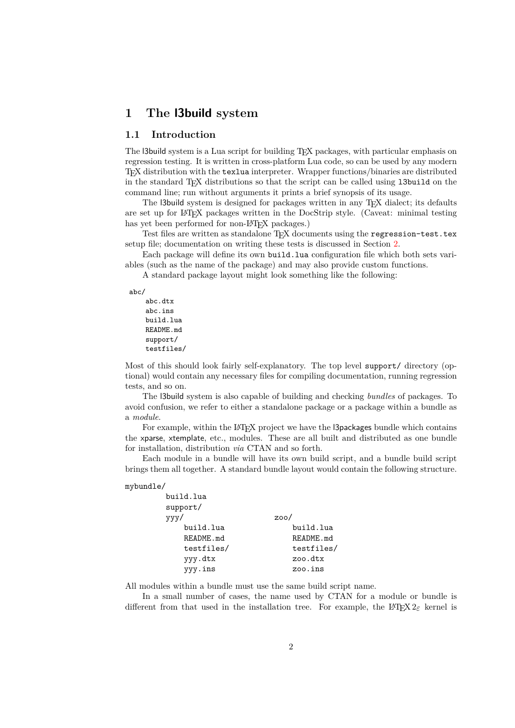### <span id="page-1-0"></span>**1 The l3build system**

#### <span id="page-1-1"></span>**1.1 Introduction**

The l3build system is a Lua script for building TEX packages, with particular emphasis on regression testing. It is written in cross-platform Lua code, so can be used by any modern TEX distribution with the texlua interpreter. Wrapper functions/binaries are distributed in the standard TEX distributions so that the script can be called using l3build on the command line; run without arguments it prints a brief synopsis of its usage.

The l3build system is designed for packages written in any TEX dialect; its defaults are set up for LATEX packages written in the DocStrip style. (Caveat: minimal testing has yet been performed for non-LAT<sub>EX</sub> packages.)

Test files are written as standalone TFX documents using the regression-test.tex setup file; documentation on writing these tests is discussed in Section [2.](#page-16-0)

Each package will define its own build.lua configuration file which both sets variables (such as the name of the package) and may also provide custom functions.

A standard package layout might look something like the following:

abc/

```
abc.dtx
abc.ins
build.lua
README.md
support/
testfiles/
```
Most of this should look fairly self-explanatory. The top level support/ directory (optional) would contain any necessary files for compiling documentation, running regression tests, and so on.

The l3build system is also capable of building and checking *bundles* of packages. To avoid confusion, we refer to either a standalone package or a package within a bundle as a *module*.

For example, within the LATEX project we have the l3packages bundle which contains the xparse, xtemplate, etc., modules. These are all built and distributed as one bundle for installation, distribution *via* CTAN and so forth.

Each module in a bundle will have its own build script, and a bundle build script brings them all together. A standard bundle layout would contain the following structure.

#### mybundle/

| build.lua  |            |
|------------|------------|
| support/   |            |
| ууу/       | 200/       |
| build.lua  | build.lua  |
| README.md  | README.md  |
| testfiles/ | testfiles/ |
| yyy.dtx    | zoo.dtx    |
| yyy.ins    | zoo.ins    |
|            |            |

All modules within a bundle must use the same build script name.

In a small number of cases, the name used by CTAN for a module or bundle is different from that used in the installation tree. For example, the L<sup>AT</sup>EX  $2\varepsilon$  kernel is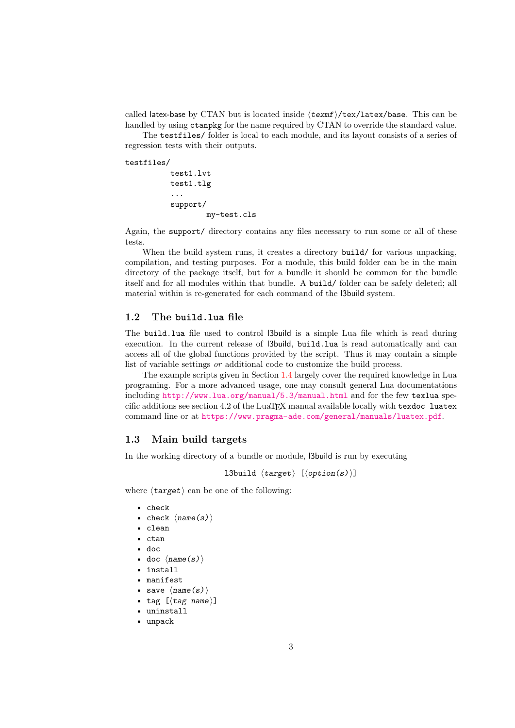called latex-base by CTAN but is located inside ⟨texmf⟩/tex/latex/base. This can be handled by using ctanpkg for the name required by CTAN to override the standard value.

The testfiles/ folder is local to each module, and its layout consists of a series of regression tests with their outputs.

testfiles/

```
test1.lvt
test1.tlg
...
support/
        my-test.cls
```
Again, the support/ directory contains any files necessary to run some or all of these tests.

When the build system runs, it creates a directory build/ for various unpacking, compilation, and testing purposes. For a module, this build folder can be in the main directory of the package itself, but for a bundle it should be common for the bundle itself and for all modules within that bundle. A build/ folder can be safely deleted; all material within is re-generated for each command of the l3build system.

### <span id="page-2-0"></span>**1.2 The build.lua file**

The build.lua file used to control l3build is a simple Lua file which is read during execution. In the current release of l3build, build.lua is read automatically and can access all of the global functions provided by the script. Thus it may contain a simple list of variable settings *or* additional code to customize the build process.

The example scripts given in Section [1.4](#page-8-0) largely cover the required knowledge in Lua programing. For a more advanced usage, one may consult general Lua documentations including <http://www.lua.org/manual/5.3/manual.html> and for the few texlua specific additions see section 4.2 of the LuaTEX manual available locally with texdoc luatex command line or at <https://www.pragma-ade.com/general/manuals/luatex.pdf>.

### <span id="page-2-1"></span>**1.3 Main build targets**

In the working directory of a bundle or module, l3build is run by executing

```
l3build \langle target \rangle [\langle option(s) \rangle]
```
where  $\langle target \rangle$  can be one of the following:

- check
- check  $\langle name(s) \rangle$
- clean
- ctan
- doc
- doc  $\langle name(s) \rangle$
- install
- manifest
- save  $\langle name(s) \rangle$
- tag [⟨tag name⟩]
- uninstall
- unpack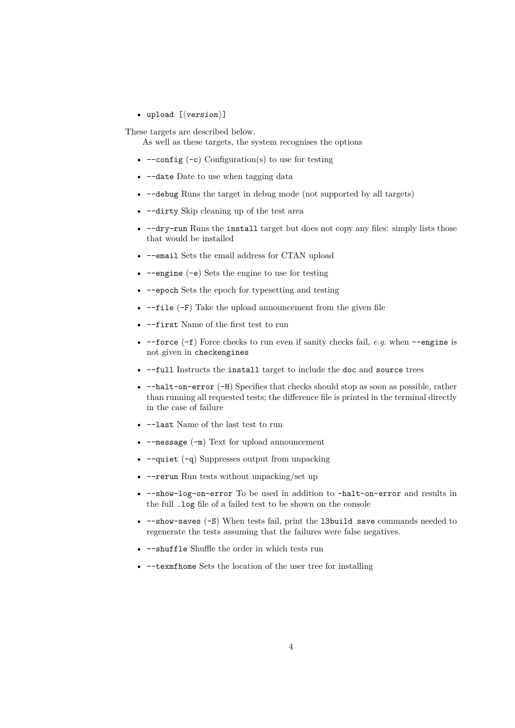• upload [ $\langle version \rangle$ ]

These targets are described below.

As well as these targets, the system recognises the options

- $--config(-c)$  Configuration(s) to use for testing
- --date Date to use when tagging data
- --debug Runs the target in debug mode (not supported by all targets)
- --dirty Skip cleaning up of the test area
- $-dry-run Runs$  the install target but does not copy any files: simply lists those that would be installed
- --email Sets the email address for CTAN upload
- $\text{-}$ -engine  $(\text{-}e)$  Sets the engine to use for testing
- --epoch Sets the epoch for typesetting and testing
- $\bullet$  --file (-F) Take the upload announcement from the given file
- --first Name of the first test to run
- --force (-f) Force checks to run even if sanity checks fail, *e.g.* when --engine is not given in checkengines
- --full Instructs the install target to include the doc and source trees
- --halt-on-error (-H) Specifies that checks should stop as soon as possible, rather than running all requested tests; the difference file is printed in the terminal directly in the case of failure
- --last Name of the last test to run
- $\bullet$  --message  $(-m)$  Text for upload announcement
- $-\text{quiet } (-q)$  Suppresses output from unpacking
- -- rerun Run tests without unpacking/set up
- --show-log-on-error To be used in addition to –halt-on-error and results in the full .log file of a failed test to be shown on the console
- $--$ show-saves  $(-S)$  When tests fail, print the 13build save commands needed to regenerate the tests assuming that the failures were false negatives.
- --shuffle Shuffle the order in which tests run
- --texmfhome Sets the location of the user tree for installing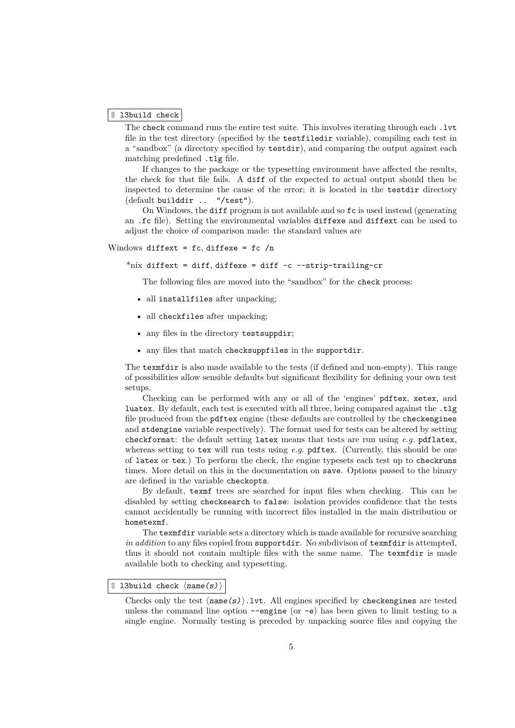#### \$ l3build check

The check command runs the entire test suite. This involves iterating through each .lvt file in the test directory (specified by the testfiledir variable), compiling each test in a "sandbox" (a directory specified by testdir), and comparing the output against each matching predefined .tlg file.

If changes to the package or the typesetting environment have affected the results, the check for that file fails. A diff of the expected to actual output should then be inspected to determine the cause of the error; it is located in the testdir directory (default builddir .. "/test").

On Windows, the diff program is not available and so fc is used instead (generating an .fc file). Setting the environmental variables diffexe and diffext can be used to adjust the choice of comparison made: the standard values are

#### Windows diffext =  $fc$ , diffexe =  $fc$  /n

\*nix diffext = diff, diffexe = diff  $-c$  --strip-trailing-cr

The following files are moved into the "sandbox" for the check process:

- all installfiles after unpacking;
- all checkfiles after unpacking;
- any files in the directory testsuppdir;
- any files that match checksuppfiles in the supportdir.

The texmfdir is also made available to the tests (if defined and non-empty). This range of possibilities allow sensible defaults but significant flexibility for defining your own test setups.

Checking can be performed with any or all of the 'engines' pdftex, xetex, and luatex. By default, each test is executed with all three, being compared against the  $\texttt{tlg}$ file produced from the pdftex engine (these defaults are controlled by the checkengines and stdengine variable respectively). The format used for tests can be altered by setting checkformat: the default setting latex means that tests are run using *e.g.* pdflatex, whereas setting to tex will run tests using *e.g.* pdftex. (Currently, this should be one of latex or tex.) To perform the check, the engine typesets each test up to checkruns times. More detail on this in the documentation on save. Options passed to the binary are defined in the variable checkopts.

By default, texmf trees are searched for input files when checking. This can be disabled by setting checksearch to false: isolation provides confidence that the tests cannot accidentally be running with incorrect files installed in the main distribution or hometexmf.

The texmfdir variable sets a directory which is made available for recursive searching *in addition* to any files copied from supportdir. No subdivison of texmfdir is attempted, thus it should not contain multiple files with the same name. The texmfdir is made available both to checking and typesetting.

#### \$ l3build check ⟨name(s)⟩

Checks only the test  $\langle name(s) \rangle$ . Lvt. All engines specified by checkengines are tested unless the command line option  $-\text{engine}$  (or  $-\text{e}$ ) has been given to limit testing to a single engine. Normally testing is preceded by unpacking source files and copying the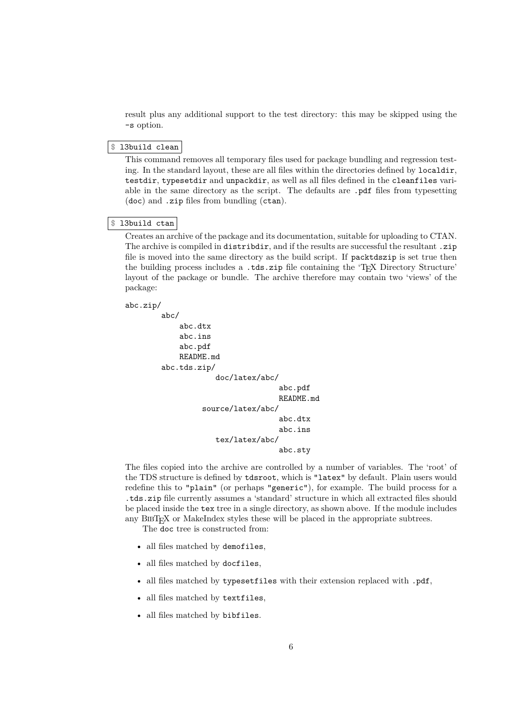result plus any additional support to the test directory: this may be skipped using the -s option.

#### \$ l3build clean

This command removes all temporary files used for package bundling and regression testing. In the standard layout, these are all files within the directories defined by localdir, testdir, typesetdir and unpackdir, as well as all files defined in the cleanfiles variable in the same directory as the script. The defaults are .pdf files from typesetting (doc) and .zip files from bundling (ctan).

### \$ l3build ctan

Creates an archive of the package and its documentation, suitable for uploading to CTAN. The archive is compiled in distributive, and if the results are successful the resultant .zip file is moved into the same directory as the build script. If packtdszip is set true then the building process includes a .tds.zip file containing the 'TEX Directory Structure' layout of the package or bundle. The archive therefore may contain two 'views' of the package:

```
abc.zip/
```

```
abc/
    abc.dtx
    abc.ins
    abc.pdf
    README.md
abc.tds.zip/
            doc/latex/abc/
                           abc.pdf
                           README.md
         source/latex/abc/
                           abc.dtx
                           abc.ins
            tex/latex/abc/
                           abc.sty
```
The files copied into the archive are controlled by a number of variables. The 'root' of the TDS structure is defined by tdsroot, which is "latex" by default. Plain users would redefine this to "plain" (or perhaps "generic"), for example. The build process for a .tds.zip file currently assumes a 'standard' structure in which all extracted files should be placed inside the tex tree in a single directory, as shown above. If the module includes any  $BIBT<sub>F</sub>X$  or MakeIndex styles these will be placed in the appropriate subtrees.

The doc tree is constructed from:

- all files matched by demofiles,
- all files matched by docfiles,
- all files matched by typesetfiles with their extension replaced with .pdf,
- all files matched by textfiles,
- all files matched by bibfiles.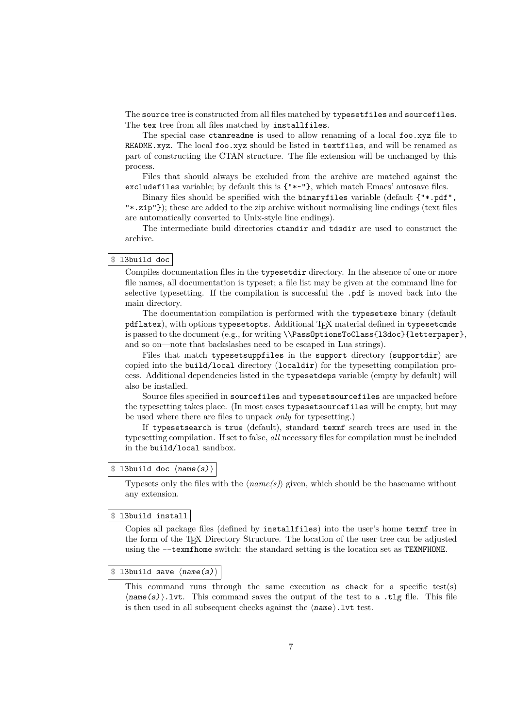The source tree is constructed from all files matched by typesetfiles and sourcefiles. The tex tree from all files matched by installfiles.

The special case ctanreadme is used to allow renaming of a local foo.xyz file to README.xyz. The local foo.xyz should be listed in textfiles, and will be renamed as part of constructing the CTAN structure. The file extension will be unchanged by this process.

Files that should always be excluded from the archive are matched against the excludefiles variable; by default this is {"\*~"}, which match Emacs' autosave files.

Binary files should be specified with the binaryfiles variable (default {"\*.pdf", "\*.zip"}); these are added to the zip archive without normalising line endings (text files are automatically converted to Unix-style line endings).

The intermediate build directories ctandir and tdsdir are used to construct the archive.

#### \$ l3build doc

Compiles documentation files in the typesetdir directory. In the absence of one or more file names, all documentation is typeset; a file list may be given at the command line for selective typesetting. If the compilation is successful the .pdf is moved back into the main directory.

The documentation compilation is performed with the typesetexe binary (default pdflatex), with options typesetopts. Additional T<sub>E</sub>X material defined in typesetcmds is passed to the document (e.g., for writing \\PassOptionsToClass{l3doc}{letterpaper}, and so on—note that backslashes need to be escaped in Lua strings).

Files that match typesetsuppfiles in the support directory (supportdir) are copied into the build/local directory (localdir) for the typesetting compilation process. Additional dependencies listed in the typesetdeps variable (empty by default) will also be installed.

Source files specified in sourcefiles and typesetsourcefiles are unpacked before the typesetting takes place. (In most cases typesetsourcefiles will be empty, but may be used where there are files to unpack *only* for typesetting.)

If typesetsearch is true (default), standard texmf search trees are used in the typesetting compilation. If set to false, *all* necessary files for compilation must be included in the build/local sandbox.

#### $$ 13$ build doc  $\langle name(s) \rangle$

Typesets only the files with the ⟨*name(s)*⟩ given, which should be the basename without any extension.

#### \$ l3build install

Copies all package files (defined by installfiles) into the user's home texmf tree in the form of the TEX Directory Structure. The location of the user tree can be adjusted using the --texmfhome switch: the standard setting is the location set as TEXMFHOME.

#### $$$  l3build save  $\langle name(s) \rangle$

This command runs through the same execution as check for a specific test(s)  $\langle$ name(s) $\rangle$ .lvt. This command saves the output of the test to a .tlg file. This file is then used in all subsequent checks against the  $\langle$ **name** $\rangle$ . 1vt test.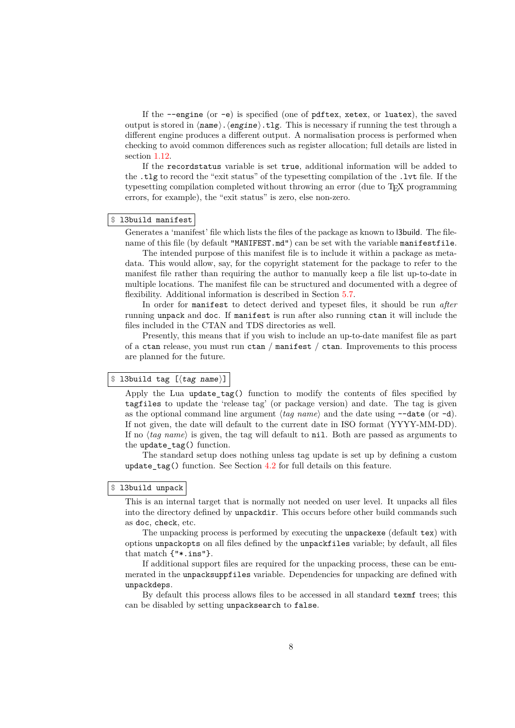If the  $\neg$ -engine (or  $\neg$ e) is specified (one of pdftex, xetex, or luatex), the saved output is stored in  $\langle \text{name} \rangle \cdot \langle \text{engine} \rangle \cdot \langle \text{tlg} \rangle$ . This is necessary if running the test through a different engine produces a different output. A normalisation process is performed when checking to avoid common differences such as register allocation; full details are listed in section [1.12.](#page-15-0)

If the recordstatus variable is set true, additional information will be added to the .tlg to record the "exit status" of the typesetting compilation of the .lvt file. If the typesetting compilation completed without throwing an error (due to TEX programming errors, for example), the "exit status" is zero, else non-zero.

#### \$ l3build manifest

Generates a 'manifest' file which lists the files of the package as known to l3build. The filename of this file (by default "MANIFEST.md") can be set with the variable manifestfile.

The intended purpose of this manifest file is to include it within a package as metadata. This would allow, say, for the copyright statement for the package to refer to the manifest file rather than requiring the author to manually keep a file list up-to-date in multiple locations. The manifest file can be structured and documented with a degree of flexibility. Additional information is described in Section [5.7.](#page-33-0)

In order for manifest to detect derived and typeset files, it should be run *after* running unpack and doc. If manifest is run after also running ctan it will include the files included in the CTAN and TDS directories as well.

Presently, this means that if you wish to include an up-to-date manifest file as part of a ctan release, you must run ctan / manifest / ctan. Improvements to this process are planned for the future.

#### \$ l3build tag [⟨tag name⟩]

Apply the Lua update  $tag()$  function to modify the contents of files specified by tagfiles to update the 'release tag' (or package version) and date. The tag is given as the optional command line argument  $\langle tag \ name \rangle$  and the date using  $\neg$ **-date** (or  $\neg$ d). If not given, the date will default to the current date in ISO format (YYYY-MM-DD). If no ⟨*tag name*⟩ is given, the tag will default to nil. Both are passed as arguments to the update\_tag() function.

The standard setup does nothing unless tag update is set up by defining a custom update\_tag() function. See Section [4.2](#page-24-0) for full details on this feature.

#### \$ l3build unpack

This is an internal target that is normally not needed on user level. It unpacks all files into the directory defined by unpackdir. This occurs before other build commands such as doc, check, etc.

The unpacking process is performed by executing the unpackexe (default tex) with options unpackopts on all files defined by the unpackfiles variable; by default, all files that match {"\*.ins"}.

If additional support files are required for the unpacking process, these can be enumerated in the unpacksuppfiles variable. Dependencies for unpacking are defined with unpackdeps.

By default this process allows files to be accessed in all standard texmf trees; this can be disabled by setting unpacksearch to false.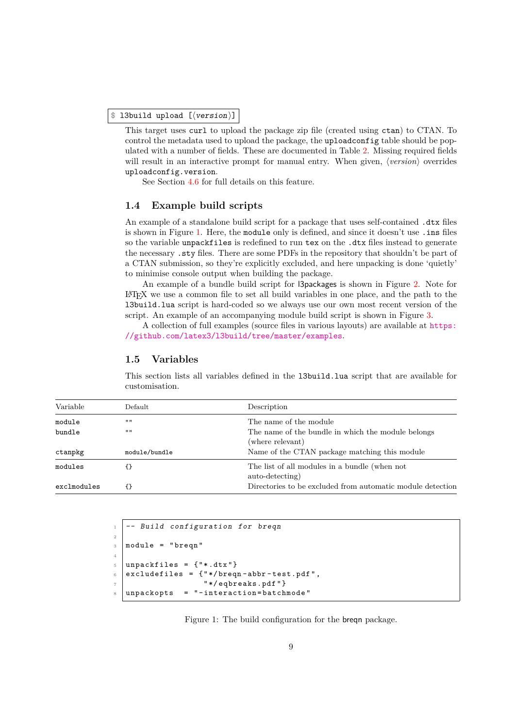#### \$ l3build upload [⟨version⟩]

This target uses curl to upload the package zip file (created using ctan) to CTAN. To control the metadata used to upload the package, the uploadconfig table should be populated with a number of fields. These are documented in Table [2.](#page-28-0) Missing required fields will result in an interactive prompt for manual entry. When given,  $\langle version \rangle$  overrides uploadconfig.version.

See Section [4.6](#page-26-1) for full details on this feature.

#### <span id="page-8-0"></span>**1.4 Example build scripts**

An example of a standalone build script for a package that uses self-contained .dtx files is shown in Figure [1.](#page-8-2) Here, the module only is defined, and since it doesn't use .ins files so the variable unpackfiles is redefined to run tex on the .dtx files instead to generate the necessary .sty files. There are some PDFs in the repository that shouldn't be part of a CTAN submission, so they're explicitly excluded, and here unpacking is done 'quietly' to minimise console output when building the package.

An example of a bundle build script for l3packages is shown in Figure [2.](#page-13-0) Note for LATEX we use a common file to set all build variables in one place, and the path to the l3build.lua script is hard-coded so we always use our own most recent version of the script. An example of an accompanying module build script is shown in Figure [3.](#page-13-1)

A collection of full examples (source files in various layouts) are available at [https:](https://github.com/latex3/l3build/tree/master/examples) [//github.com/latex3/l3build/tree/master/examples](https://github.com/latex3/l3build/tree/master/examples).

#### <span id="page-8-1"></span>**1.5 Variables**

This section lists all variables defined in the l3build.lua script that are available for customisation.

| Variable    | Default       | Description                                                            |
|-------------|---------------|------------------------------------------------------------------------|
| module      | $\mathbf{H}$  | The name of the module                                                 |
| bundle      | $\mathbf{H}$  | The name of the bundle in which the module belongs<br>(where relevant) |
| ctanpkg     | module/bundle | Name of the CTAN package matching this module                          |
| modules     |               | The list of all modules in a bundle (when not<br>auto-detecting)       |
| exclmodules | ብ የ           | Directories to be excluded from automatic module detection             |

```
1 -- Build configuration for breqn
2
3 module = "breqn"
4
5 \times 10 unpackfiles = \{ "*.dtx"}
6 \mid excludefiles = {"*/breqn-abbr-test.pdf",
7 " */eqbreaks.pdf "}
8 \times 100 unpackopts = "-interaction=batchmode"
```
<span id="page-8-2"></span>Figure 1: The build configuration for the breqn package.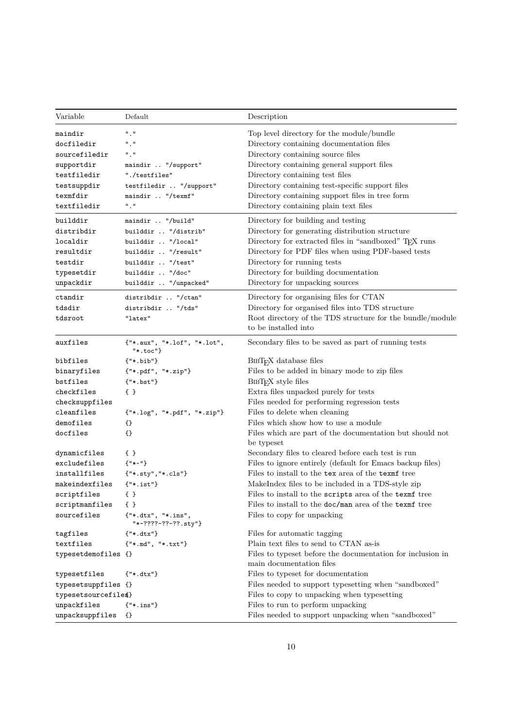| Variable              | Default                                                                      | Description                                                                       |
|-----------------------|------------------------------------------------------------------------------|-----------------------------------------------------------------------------------|
| maindir               | ", "                                                                         | Top level directory for the module/bundle                                         |
| docfiledir            | $^{\rm H}$ , $^{\rm H}$                                                      | Directory containing documentation files                                          |
| sourcefiledir         | "."                                                                          | Directory containing source files                                                 |
| supportdir            | maindir  "/support"                                                          | Directory containing general support files                                        |
| testfiledir           | "./testfiles"                                                                | Directory containing test files                                                   |
| testsuppdir           | testfiledir  "/support"                                                      | Directory containing test-specific support files                                  |
| texmfdir              | maindir  "/texmf"                                                            | Directory containing support files in tree form                                   |
| textfiledir           | "."                                                                          | Directory containing plain text files                                             |
| builddir              | maindir  "/build"                                                            | Directory for building and testing                                                |
| distribdir            | builddir  "/distrib"                                                         | Directory for generating distribution structure                                   |
| localdir              | builddir  "/local"                                                           | Directory for extracted files in "sandboxed" TFX runs                             |
| resultdir             | builddir  "/result"                                                          | Directory for PDF files when using PDF-based tests                                |
| testdir               | builddir  "/test"                                                            | Directory for running tests                                                       |
| typesetdir            | builddir  "/doc"                                                             | Directory for building documentation                                              |
| unpackdir             | builddir  "/unpacked"                                                        | Directory for unpacking sources                                                   |
| ctandir               | distribdir  "/ctan"                                                          | Directory for organising files for CTAN                                           |
| tdsdir                | distribdir  "/tds"                                                           | Directory for organised files into TDS structure                                  |
| tdsroot               | "latex"                                                                      | Root directory of the TDS structure for the bundle/module<br>to be installed into |
| auxfiles              | {"*.aux", "*.lof", "*.lot",<br>$"*.toc"$ }                                   | Secondary files to be saved as part of running tests                              |
| bibfiles              | ${\n \n \cdot \n \cdot \n}$                                                  | BIBT <sub>F</sub> X database files                                                |
| binaryfiles           | ${``*.pdf", "*.zip"}$                                                        | Files to be added in binary mode to zip files                                     |
| bstfiles              | ${ "*.bst" }$                                                                | $BIBTFX$ style files                                                              |
| checkfiles            | $\{ \}$                                                                      | Extra files unpacked purely for tests                                             |
| checksuppfiles        |                                                                              | Files needed for performing regression tests                                      |
| cleanfiles            | ${\{\texttt{"*}.\texttt{log"}\,,\;\texttt{"*}.pdf"}\,,\;\texttt{"*}.zip"\}}$ | Files to delete when cleaning                                                     |
| demofiles             | $\{\}$                                                                       | Files which show how to use a module                                              |
| docfiles              | $\{\}$                                                                       | Files which are part of the documentation but should not<br>be typeset            |
| dynamicfiles          | $\{ \}$                                                                      | Secondary files to cleared before each test is run                                |
| excludefiles          | ${ "**" }$                                                                   | Files to ignore entirely (default for Emacs backup files)                         |
| installfiles          | ${""}.$ sty", "*.cls"}                                                       | Files to install to the tex area of the texmf tree                                |
| makeindexfiles        | ${\{\texttt{"*}.ist"\}}$                                                     | MakeIndex files to be included in a TDS-style zip                                 |
| scriptfiles           | $\{ \}$                                                                      | Files to install to the scripts area of the texmit tree                           |
| scriptmanfiles        | $\{ \}$                                                                      | Files to install to the doc/man area of the texmf tree                            |
| sourcefiles           | {"*.dtx", "*.ins",<br>$"$ *-????-??-??.sty"}                                 | Files to copy for unpacking                                                       |
| tagfiles              | ${\{\texttt{"*}.dtx"\}}$                                                     | Files for automatic tagging                                                       |
| textfiles             | ${''*.md", "*.txt"}$                                                         | Plain text files to send to CTAN as-is                                            |
| typesetdemofiles {}   |                                                                              | Files to typeset before the documentation for inclusion in                        |
|                       |                                                                              | main documentation files                                                          |
| typesetfiles          | ${\{\texttt{"*}.dtx"\}}$                                                     | Files to typeset for documentation                                                |
| typesetsuppfiles {}   |                                                                              | Files needed to support typesetting when "sandboxed"                              |
| typesetsourcefile \$} |                                                                              | Files to copy to unpacking when typesetting                                       |
| unpackfiles           | ${\{\texttt{"*}.\texttt{ins"\}}$                                             | Files to run to perform unpacking                                                 |
| unpacksuppfiles       | {}                                                                           | Files needed to support unpacking when "sandboxed"                                |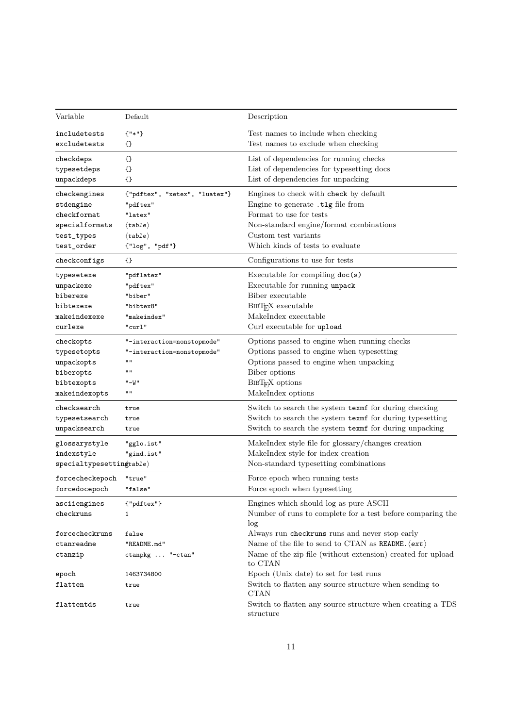| Variable                     | Default                            | Description                                                                |
|------------------------------|------------------------------------|----------------------------------------------------------------------------|
| includetests<br>excludetests | ${ "*" }$<br>{}                    | Test names to include when checking<br>Test names to exclude when checking |
| checkdeps                    | $\{\}$                             | List of dependencies for running checks                                    |
| typesetdeps                  | {}                                 | List of dependencies for typesetting docs                                  |
| unpackdeps                   | {}                                 | List of dependencies for unpacking                                         |
| checkengines                 | {"pdftex", "xetex", "luatex"}      | Engines to check with check by default                                     |
| stdengine                    | "pdftex"                           | Engine to generate .tlg file from                                          |
| checkformat                  | "latex"                            | Format to use for tests                                                    |
| specialformats               | $\langle \texttt{table} \rangle$   | Non-standard engine/format combinations                                    |
| test_types                   | $\langle \texttt{table} \rangle$   | Custom test variants                                                       |
| test_order                   | {"log", "pdf"}                     | Which kinds of tests to evaluate                                           |
| checkconfigs                 | {}                                 | Configurations to use for tests                                            |
| typesetexe                   | "pdflatex"                         | Executable for compiling doc(s)                                            |
| unpackexe                    | "pdftex"                           | Executable for running unpack                                              |
| biberexe                     | "biber"                            | Biber executable                                                           |
| bibtexexe                    | "bibtex8"                          | BIBT <sub>F</sub> X executable                                             |
| makeindexexe                 | "makeindex"                        | MakeIndex executable                                                       |
| curlexe                      | "curl"                             | Curl executable for upload                                                 |
|                              |                                    | Options passed to engine when running checks                               |
| checkopts                    | "-interaction=nonstopmode"         |                                                                            |
| typesetopts                  | "-interaction=nonstopmode"<br>11 H | Options passed to engine when typesetting                                  |
| unpackopts                   | 11 H                               | Options passed to engine when unpacking                                    |
| biberopts                    |                                    | Biber options                                                              |
| bibtexopts                   | "-W"<br>$\mathbf{u}$               | BIBT <sub>F</sub> X options                                                |
| makeindexopts                |                                    | MakeIndex options                                                          |
| ${\tt checksearch}$          | true                               | Switch to search the system texmf for during checking                      |
| typesetsearch                | true                               | Switch to search the system texmf for during typesetting                   |
| unpacksearch                 | true                               | Switch to search the system texmf for during unpacking                     |
| glossarystyle                | "gglo.ist"                         | MakeIndex style file for glossary/changes creation                         |
| indexstyle                   | "gind.ist"                         | MakeIndex style for index creation                                         |
| spectting table              |                                    | Non-standard typesetting combinations                                      |
| forcecheckepoch              | "true"                             | Force epoch when running tests                                             |
| forcedocepoch                | "false"                            | Force epoch when typesetting                                               |
| asciiengines                 | ${"pdftex"}$                       | Engines which should log as pure ASCII                                     |
| checkruns                    | 1                                  | Number of runs to complete for a test before comparing the<br>log          |
| forcecheckruns               | false                              | Always run checkruns runs and never stop early                             |
| ctanreadme                   | "README.md"                        | Name of the file to send to CTAN as README. $\langle \text{ext} \rangle$   |
| ctanzip                      | ctanpkg  "-ctan"                   | Name of the zip file (without extension) created for upload<br>to CTAN     |
| epoch                        | 1463734800                         | Epoch (Unix date) to set for test runs                                     |
| flatten                      | true                               | Switch to flatten any source structure when sending to<br><b>CTAN</b>      |
| flattentds                   | true                               | Switch to flatten any source structure when creating a TDS<br>structure    |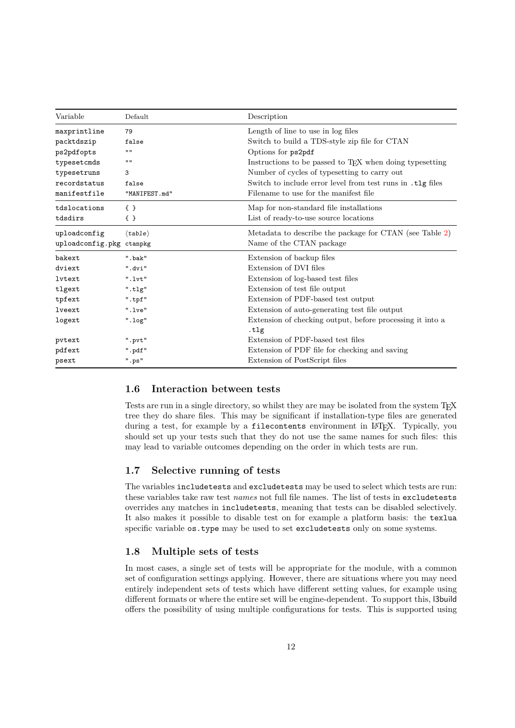| Variable                 | Default                        | Description                                                          |
|--------------------------|--------------------------------|----------------------------------------------------------------------|
| maxprintline             | 79                             | Length of line to use in log files                                   |
| packtdszip               | false                          | Switch to build a TDS-style zip file for CTAN                        |
| ps2pdfopts               | $\mathbf{H}$                   | Options for ps2pdf                                                   |
| typesetcmds              | $\mathbf{H}$                   | Instructions to be passed to T <sub>F</sub> X when doing typesetting |
| typesetruns              | 3                              | Number of cycles of typesetting to carry out                         |
| recordstatus             | false                          | Switch to include error level from test runs in .tlg files           |
| manifestfile             | "MANIFEST.md"                  | Filename to use for the manifest file                                |
| tdslocations             | $\{\}$                         | Map for non-standard file installations                              |
| tdsdirs                  | $\{ \}$                        | List of ready-to-use source locations                                |
| uploadconfig             | $\langle \text{table} \rangle$ | Metadata to describe the package for CTAN (see Table 2)              |
| uploadconfig.pkg ctanpkg |                                | Name of the CTAN package                                             |
| bakext                   | ".bak"                         | Extension of backup files                                            |
| dviext                   | ".dvi"                         | Extension of DVI files                                               |
| lytext                   | ".'v't"                        | Extension of log-based test files                                    |
| tlgext                   | ".tlg"                         | Extension of test file output                                        |
| tpfext                   | ".tpf"                         | Extension of PDF-based test output                                   |
| lveext                   | ".lve"                         | Extension of auto-generating test file output                        |
| logext                   | $"$ .log $"$                   | Extension of checking output, before processing it into a<br>.tlg    |
| pvtext                   | ".pvt"                         | Extension of PDF-based test files                                    |
| pdfext                   | ".pdf"                         | Extension of PDF file for checking and saving                        |
| psext                    | ".ps"                          | Extension of PostScript files                                        |

### <span id="page-11-0"></span>**1.6 Interaction between tests**

Tests are run in a single directory, so whilst they are may be isolated from the system TFX tree they do share files. This may be significant if installation-type files are generated during a test, for example by a filecontents environment in LAT<sub>EX</sub>. Typically, you should set up your tests such that they do not use the same names for such files: this may lead to variable outcomes depending on the order in which tests are run.

#### <span id="page-11-1"></span>**1.7 Selective running of tests**

The variables includetests and excludetests may be used to select which tests are run: these variables take raw test *names* not full file names. The list of tests in excludetests overrides any matches in includetests, meaning that tests can be disabled selectively. It also makes it possible to disable test on for example a platform basis: the texlua specific variable os.type may be used to set excludetests only on some systems.

#### <span id="page-11-2"></span>**1.8 Multiple sets of tests**

In most cases, a single set of tests will be appropriate for the module, with a common set of configuration settings applying. However, there are situations where you may need entirely independent sets of tests which have different setting values, for example using different formats or where the entire set will be engine-dependent. To support this, l3build offers the possibility of using multiple configurations for tests. This is supported using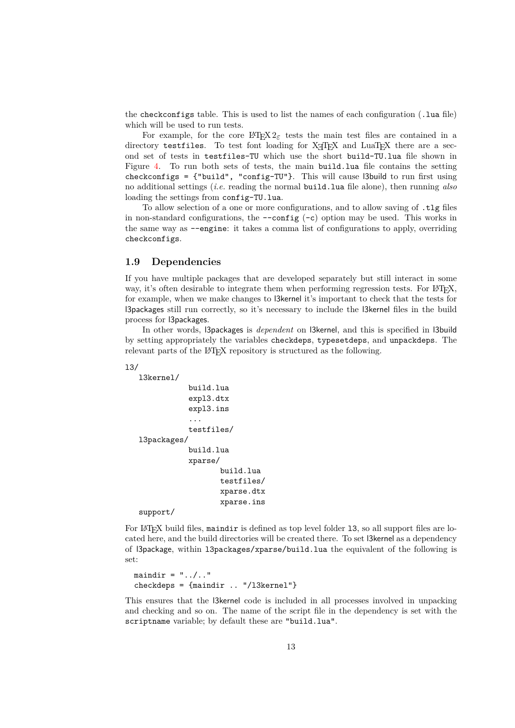the checkconfigs table. This is used to list the names of each configuration (.lua file) which will be used to run tests.

For example, for the core  $\text{LATEX } 2\varepsilon$  tests the main test files are contained in a directory testfiles. To test font loading for X<sub>T</sub>TEX and LuaTEX there are a second set of tests in testfiles-TU which use the short build-TU.lua file shown in Figure [4.](#page-13-2) To run both sets of tests, the main build.lua file contains the setting checkconfigs =  $\{\text{``build''}, \text{``config-TU''}\}.$  This will cause l3build to run first using no additional settings (*i.e.* reading the normal build.lua file alone), then running *also* loading the settings from config-TU.lua.

To allow selection of a one or more configurations, and to allow saving of .tlg files in non-standard configurations, the  $--$ config  $(-c)$  option may be used. This works in the same way as --engine: it takes a comma list of configurations to apply, overriding checkconfigs.

#### <span id="page-12-0"></span>**1.9 Dependencies**

If you have multiple packages that are developed separately but still interact in some way, it's often desirable to integrate them when performing regression tests. For LAT<sub>EX</sub>, for example, when we make changes to l3kernel it's important to check that the tests for l3packages still run correctly, so it's necessary to include the l3kernel files in the build process for l3packages.

In other words, l3packages is *dependent* on l3kernel, and this is specified in l3build by setting appropriately the variables checkdeps, typesetdeps, and unpackdeps. The relevant parts of the LAT<sub>EX</sub> repository is structured as the following.

l3/

```
l3kernel/
            build.lua
            expl3.dtx
            expl3.ins
            ...
            testfiles/
l3packages/
            build.lua
            xparse/
                   build.lua
                   testfiles/
                   xparse.dtx
                   xparse.ins
```
support/

For LAT<sub>EX</sub> build files, maindir is defined as top level folder 13, so all support files are located here, and the build directories will be created there. To set l3kernel as a dependency of l3package, within l3packages/xparse/build.lua the equivalent of the following is set:

```
maindir = " \ldots / \ldots"checkdeps = {maindir .. "/l3kernel"}
```
This ensures that the l3kernel code is included in all processes involved in unpacking and checking and so on. The name of the script file in the dependency is set with the scriptname variable; by default these are "build.lua".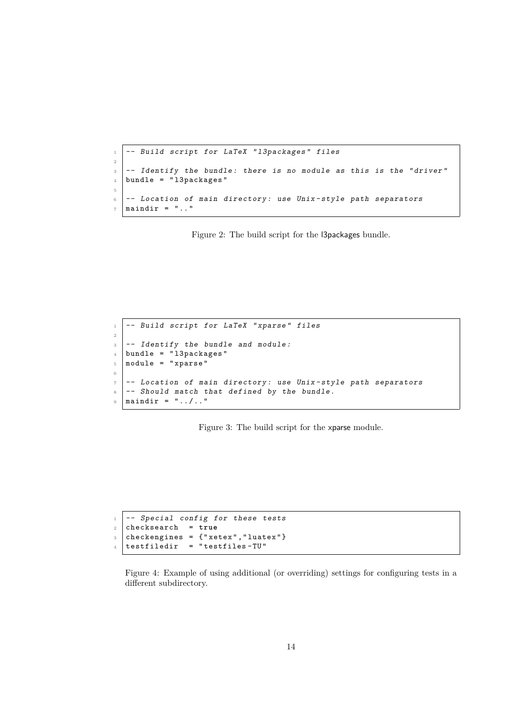```
1 \vert -- Build script for LaTeX "13packages" files
2
3 -- Identify the bundle: there is no module as this is the "driver"
_4 bundle = "13packages"
5
6 -- Location of main directory: use Unix-style path separators
7 maindir = ".."
```
<span id="page-13-0"></span>Figure 2: The build script for the l3packages bundle.

```
1 \vert -- Build script for LaTeX "xparse" files
2
3 \vert -- Identify the bundle and module:
4 bundle = "13packages"
5 module = "xparse"
6
7 -- Location of main directory: use Unix-style path separators
8 -- Should match that defined by the bundle.
9 \text{ maindir} = " \dots / \dots
```
<span id="page-13-1"></span>Figure 3: The build script for the xparse module.

```
1 -- Special config for these tests
2 checksearch = true
3 checkengines = {"xetex", "luatex"}
4 testfiledir = "testfiles-TU"
```
<span id="page-13-2"></span>Figure 4: Example of using additional (or overriding) settings for configuring tests in a different subdirectory.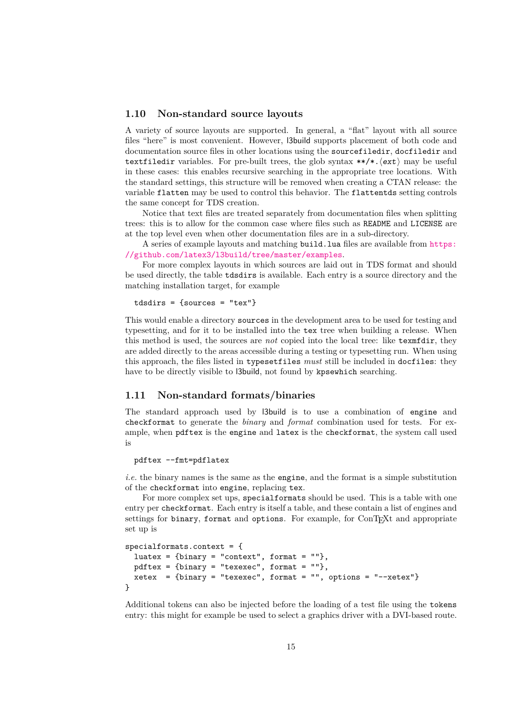#### <span id="page-14-0"></span>**1.10 Non-standard source layouts**

A variety of source layouts are supported. In general, a "flat" layout with all source files "here" is most convenient. However, l3build supports placement of both code and documentation source files in other locations using the sourcefiledir, docfiledir and textfiledir variables. For pre-built trees, the glob syntax  $**/*.$  $(\text{ext})$  may be useful in these cases: this enables recursive searching in the appropriate tree locations. With the standard settings, this structure will be removed when creating a CTAN release: the variable flatten may be used to control this behavior. The flattentds setting controls the same concept for TDS creation.

Notice that text files are treated separately from documentation files when splitting trees: this is to allow for the common case where files such as README and LICENSE are at the top level even when other documentation files are in a sub-directory.

A series of example layouts and matching build.lua files are available from [https:](https://github.com/latex3/l3build/tree/master/examples) [//github.com/latex3/l3build/tree/master/examples](https://github.com/latex3/l3build/tree/master/examples).

For more complex layouts in which sources are laid out in TDS format and should be used directly, the table tdsdirs is available. Each entry is a source directory and the matching installation target, for example

```
tdsdirs = \{sources = "tex" \}
```
This would enable a directory sources in the development area to be used for testing and typesetting, and for it to be installed into the tex tree when building a release. When this method is used, the sources are *not* copied into the local tree: like texmfdir, they are added directly to the areas accessible during a testing or typesetting run. When using this approach, the files listed in typesetfiles *must* still be included in docfiles: they have to be directly visible to l3build, not found by kpsewhich searching.

### <span id="page-14-1"></span>**1.11 Non-standard formats/binaries**

The standard approach used by l3build is to use a combination of engine and checkformat to generate the *binary* and *format* combination used for tests. For example, when pdftex is the engine and latex is the checkformat, the system call used is

pdftex --fmt=pdflatex

*i.e.* the binary names is the same as the engine, and the format is a simple substitution of the checkformat into engine, replacing tex.

For more complex set ups, specialformats should be used. This is a table with one entry per checkformat. Each entry is itself a table, and these contain a list of engines and settings for binary, format and options. For example, for  $ConTrXt$  and appropriate set up is

```
specialformats.context = \{luatex = \{ \text{binary} = "context", \text{ format} = ""\},
  pdftex = \{binary = "texexec", format = ""}xetex = \{binary = "texexec", format = "", options = "-xetex"\}}
```
Additional tokens can also be injected before the loading of a test file using the tokens entry: this might for example be used to select a graphics driver with a DVI-based route.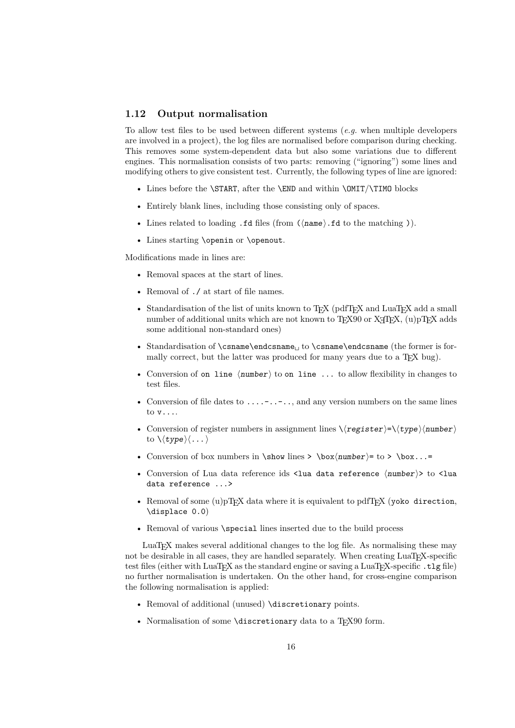#### <span id="page-15-1"></span><span id="page-15-0"></span>**1.12 Output normalisation**

To allow test files to be used between different systems (*e.g.* when multiple developers are involved in a project), the log files are normalised before comparison during checking. This removes some system-dependent data but also some variations due to different engines. This normalisation consists of two parts: removing ("ignoring") some lines and modifying others to give consistent test. Currently, the following types of line are ignored:

- Lines before the **\START**, after the **\END** and within **\OMIT**/**\TIMO** blocks
- Entirely blank lines, including those consisting only of spaces.
- Lines related to loading .fd files (from  $(\langle name \rangle .fd$  to the matching)).
- Lines starting \openin or \openout.

Modifications made in lines are:

- Removal spaces at the start of lines.
- Removal of ./ at start of file names.
- Standardisation of the list of units known to T<sub>E</sub>X (pdfT<sub>E</sub>X and LuaT<sub>E</sub>X add a small number of additional units which are not known to  $T_{\text{F}}$ X90 or  $X_{\text{F}}$ T<sub>E</sub>X, (u)pT<sub>E</sub>X adds some additional non-standard ones)
- Standardisation of \csname\endcsname<sub>ii</sub> to \csname\endcsname (the former is formally correct, but the latter was produced for many years due to a TFX bug).
- Conversion of on line  $\langle$ number $\rangle$  to on line ... to allow flexibility in changes to test files.
- Conversion of file dates to  $\dots$   $\dots$  and any version numbers on the same lines to v....
- Conversion of register numbers in assignment lines  $\langle \langle \text{register} \rangle = \langle \langle \text{type} \rangle \langle \text{number} \rangle$ to  $\langle \langle type \rangle \langle \dots \rangle$
- Conversion of box numbers in  $\show$  lines >  $\boxtimes(\text{number})=$  to >  $\boxtimes...=$
- Conversion of Lua data reference ids <lua data reference  $\langle$ number >> to <lua data reference ...>
- Removal of some  $(u)pTFX$  data where it is equivalent to pdfTFX (yoko direction, \displace 0.0)
- Removal of various \special lines inserted due to the build process

LuaTEX makes several additional changes to the log file. As normalising these may not be desirable in all cases, they are handled separately. When creating LuaT<sub>EX</sub>-specific test files (either with LuaT<sub>EX</sub> as the standard engine or saving a LuaT<sub>EX</sub>-specific .tlg file) no further normalisation is undertaken. On the other hand, for cross-engine comparison the following normalisation is applied:

- Removal of additional (unused) \discretionary points.
- Normalisation of some **\discretionary** data to a T<sub>E</sub>X90 form.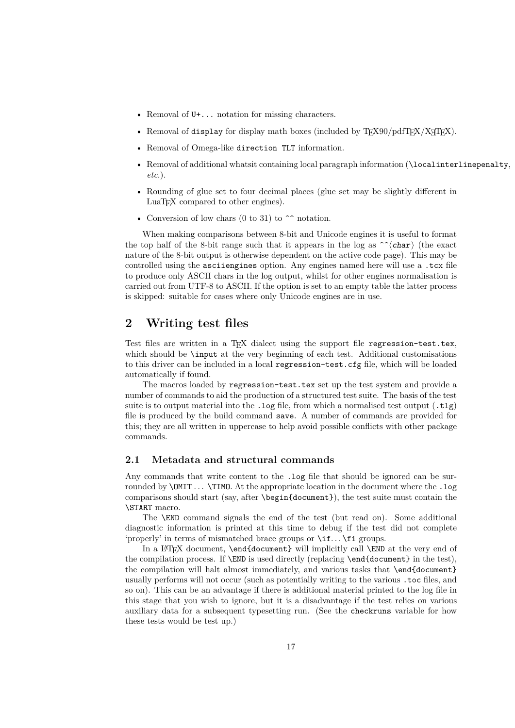- <span id="page-16-2"></span>• Removal of  $U^+ \dots$  notation for missing characters.
- Removal of display for display math boxes (included by  $T_{F}X90/pdfT_{F}X/XT_{F}X$ ).
- Removal of Omega-like direction TLT information.
- Removal of additional whatsit containing local paragraph information (\localinterlinepenalty, *etc.*).
- Rounding of glue set to four decimal places (glue set may be slightly different in LuaT<sub>E</sub>X compared to other engines).
- Conversion of low chars  $(0 \text{ to } 31)$  to  $\hat{ }$  notation.

When making comparisons between 8-bit and Unicode engines it is useful to format the top half of the 8-bit range such that it appears in the log as  $\hat{\ }$  (char) (the exact nature of the 8-bit output is otherwise dependent on the active code page). This may be controlled using the asciiengines option. Any engines named here will use a .tcx file to produce only ASCII chars in the log output, whilst for other engines normalisation is carried out from UTF-8 to ASCII. If the option is set to an empty table the latter process is skipped: suitable for cases where only Unicode engines are in use.

## <span id="page-16-0"></span>**2 Writing test files**

Test files are written in a TEX dialect using the support file regression-test.tex, which should be **\input** at the very beginning of each test. Additional customisations to this driver can be included in a local regression-test.cfg file, which will be loaded automatically if found.

The macros loaded by regression-test.tex set up the test system and provide a number of commands to aid the production of a structured test suite. The basis of the test suite is to output material into the .log file, from which a normalised test output  $( .t1g)$ file is produced by the build command save. A number of commands are provided for this; they are all written in uppercase to help avoid possible conflicts with other package commands.

#### <span id="page-16-1"></span>**2.1 Metadata and structural commands**

Any commands that write content to the .log file that should be ignored can be surrounded by **\OMIT** . . **\TIMO.** At the appropriate location in the document where the .log comparisons should start (say, after \begin{document}), the test suite must contain the \START macro.

The \END command signals the end of the test (but read on). Some additional diagnostic information is printed at this time to debug if the test did not complete 'properly' in terms of mismatched brace groups or  $\iota$ :.. \fi groups.

In a LATEX document, **\end{document}** will implicitly call **\END** at the very end of the compilation process. If \END is used directly (replacing \end{document} in the test), the compilation will halt almost immediately, and various tasks that \end{document} usually performs will not occur (such as potentially writing to the various .toc files, and so on). This can be an advantage if there is additional material printed to the log file in this stage that you wish to ignore, but it is a disadvantage if the test relies on various auxiliary data for a subsequent typesetting run. (See the checkruns variable for how these tests would be test up.)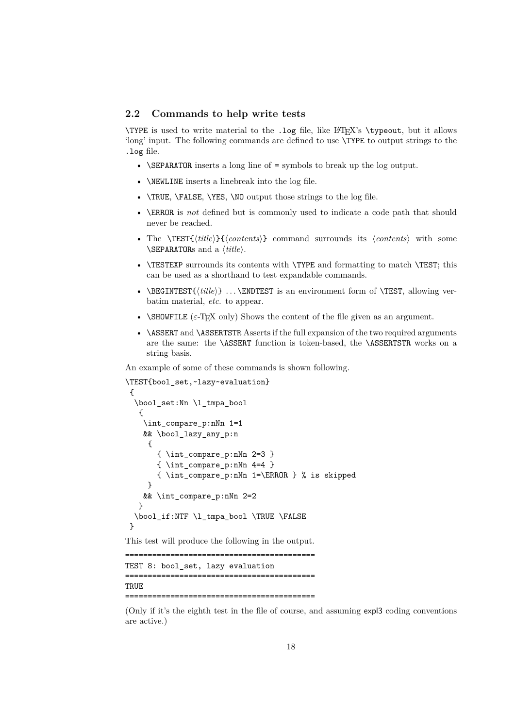#### <span id="page-17-1"></span><span id="page-17-0"></span>**2.2 Commands to help write tests**

\TYPE is used to write material to the .log file, like LATEX's \typeout, but it allows 'long' input. The following commands are defined to use \TYPE to output strings to the .log file.

- \SEPARATOR inserts a long line of = symbols to break up the log output.
- **\NEWLINE** inserts a linebreak into the log file.
- \TRUE, \FALSE, \YES, \NO output those strings to the log file.
- \ERROR is *not* defined but is commonly used to indicate a code path that should never be reached.
- The \TEST{⟨*title*⟩}{⟨*contents*⟩} command surrounds its ⟨*contents*⟩ with some \SEPARATORs and a ⟨*title*⟩.
- \TESTEXP surrounds its contents with \TYPE and formatting to match \TEST; this can be used as a shorthand to test expandable commands.
- \BEGINTEST{ $\langle title \rangle$ } ... \ENDTEST is an environment form of \TEST, allowing verbatim material, *etc.* to appear.
- $\S$ HOWFILE ( $\varepsilon$ -T<sub>EX</sub> only) Shows the content of the file given as an argument.
- \ASSERT and \ASSERTSTR Asserts if the full expansion of the two required arguments are the same: the \ASSERT function is token-based, the \ASSERTSTR works on a string basis.

An example of some of these commands is shown following.

```
\TEST{bool_set,~lazy~evaluation}
 {
  \bool set:Nn \l tmpa bool
   {
    \int_compare_p:nNn 1=1
    && \bool_lazy_any_p:n
     {
       { \int_compare_p:nNn 2=3 }
       { \int_compare_p:nNn 4=4 }
       { \int_compare_p:nNn 1=\ERROR } % is skipped
     }
    && \int_compare_p:nNn 2=2
   }
  \bool_if:NTF \l_tmpa_bool \TRUE \FALSE
 }
This test will produce the following in the output.
==========================================
TEST 8: bool set, lazy evaluation
==========================================
```
==========================================

**TRUE** 

(Only if it's the eighth test in the file of course, and assuming expl3 coding conventions are active.)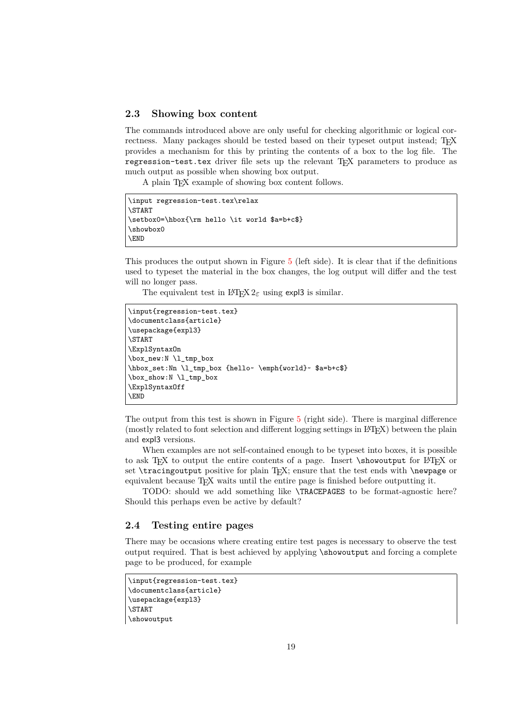#### <span id="page-18-2"></span><span id="page-18-0"></span>**2.3 Showing box content**

The commands introduced above are only useful for checking algorithmic or logical correctness. Many packages should be tested based on their typeset output instead; T<sub>E</sub>X provides a mechanism for this by printing the contents of a box to the log file. The regression-test.tex driver file sets up the relevant T<sub>EX</sub> parameters to produce as much output as possible when showing box output.

A plain TEX example of showing box content follows.

```
\input regression-test.tex\relax
\START
\setbox0=\hbox{\rm hello \it world $a=b+c$}
\showbox0
\END
```
This produces the output shown in Figure [5](#page-19-0) (left side). It is clear that if the definitions used to typeset the material in the box changes, the log output will differ and the test will no longer pass.

The equivalent test in L<sup>AT</sup>EX  $2\varepsilon$  using expl3 is similar.

```
\input{regression-test.tex}
\documentclass{article}
\usepackage{expl3}
\START
\ExplSyntaxOn
\box_new:N \l_tmp_box
\hbox_set:Nn \l_tmp_box {hello~ \emph{world}~ $a=b+c$}
\box_show:N \l_tmp_box
\ExplSyntaxOff
\END
```
The output from this test is shown in Figure [5](#page-19-0) (right side). There is marginal difference (mostly related to font selection and different logging settings in LATEX) between the plain and expl3 versions.

When examples are not self-contained enough to be typeset into boxes, it is possible to ask T<sub>EX</sub> to output the entire contents of a page. Insert \showoutput for LATEX or set \tracingoutput positive for plain TEX; ensure that the test ends with \newpage or equivalent because TEX waits until the entire page is finished before outputting it.

TODO: should we add something like \TRACEPAGES to be format-agnostic here? Should this perhaps even be active by default?

### <span id="page-18-1"></span>**2.4 Testing entire pages**

There may be occasions where creating entire test pages is necessary to observe the test output required. That is best achieved by applying \showoutput and forcing a complete page to be produced, for example

```
\input{regression-test.tex}
\documentclass{article}
\usepackage{expl3}
\START
\showoutput
```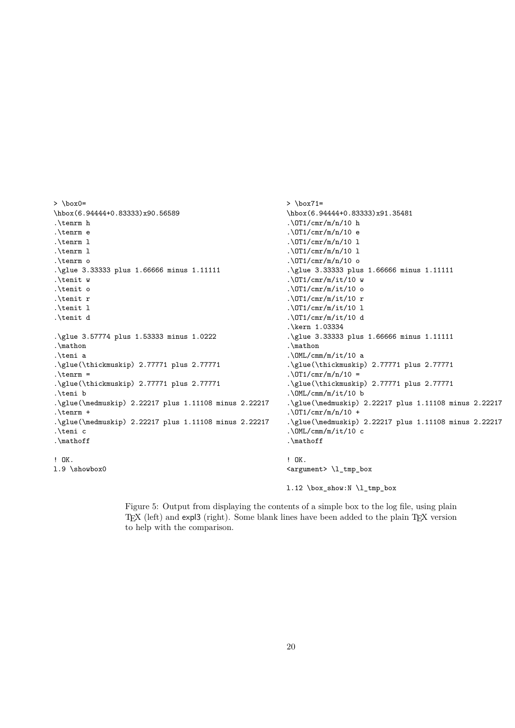```
> \box0=
\hbox(6.94444+0.83333)x90.56589
.\tenrm h
.\tenrm e
.\tenrm l
.\tenrm l
.\tenrm o
.\glue 3.33333 plus 1.66666 minus 1.11111
.\tenit w
.\tenit o
.\tenit r
.\tenit l
.\tenit d
.\glue 3.57774 plus 1.53333 minus 1.0222
.\mathon
.\teni a
.\glue(\thickmuskip) 2.77771 plus 2.77771
.\.\glue(\thickmuskip) 2.77771 plus 2.77771
.\teni b
.\glue(\medmuskip) 2.22217 plus 1.11108 minus 2.22217
.\tenrm +
.\glue(\medmuskip) 2.22217 plus 1.11108 minus 2.22217
.\teni c
.\mathoff
! OK.
l.9 \showbox0
                                                              > \box71=
                                                              \hbox(6.94444+0.83333)x91.35481
                                                               .\sqrt{OT1/cmr/m/n}/10 h.\sqrt{OT1/cmr/m/n}/10 e
                                                               .\sqrt{OT1/cmr/m/n}/10 1.\sqrt{OT1/cmr/m/n}/10 1.\sqrt{OT1/cmr/m/n}/10 o
                                                              .\glue 3.33333 plus 1.66666 minus 1.11111
                                                              .\sqrt{OT1/cmr/m/it/10} w
                                                              .\sqrt{OT1/cmr/m/it/10} o
                                                               .\sqrt{OT1/cmr/m/it/10} r
                                                              .\sqrt{OT1/cmr/m/it/10} l
                                                              .\sqrt{OT1/cmr/m/it/10} d
                                                               .\kern 1.03334
                                                               .\glue 3.33333 plus 1.66666 minus 1.11111
                                                               .\mathon
                                                               .\M.\mathrm{Cmm/m/it/10} a
                                                               .\glue(\thickmuskip) 2.77771 plus 2.77771
                                                               .\sqrt{OT1/cmr/m/n/10} =
                                                               .\glue(\thickmuskip) 2.77771 plus 2.77771
                                                               .\mathrm{OML/cmm/m/it/10} b
                                                               .\glue(\medmuskip) 2.22217 plus 1.11108 minus 2.22217
                                                               . \sqrt{OT1/cmr/m/n}/10 +.\glue(\medmuskip) 2.22217 plus 1.11108 minus 2.22217
                                                               .\ OML/cmm/m/it/10 c
                                                               .\mathoff
                                                               ! OK.
                                                              <argument> \l_tmp_box
                                                              l.12 \box_show:N \l_tmp_box
```
<span id="page-19-0"></span>Figure 5: Output from displaying the contents of a simple box to the log file, using plain TEX (left) and expl3 (right). Some blank lines have been added to the plain TEX version to help with the comparison.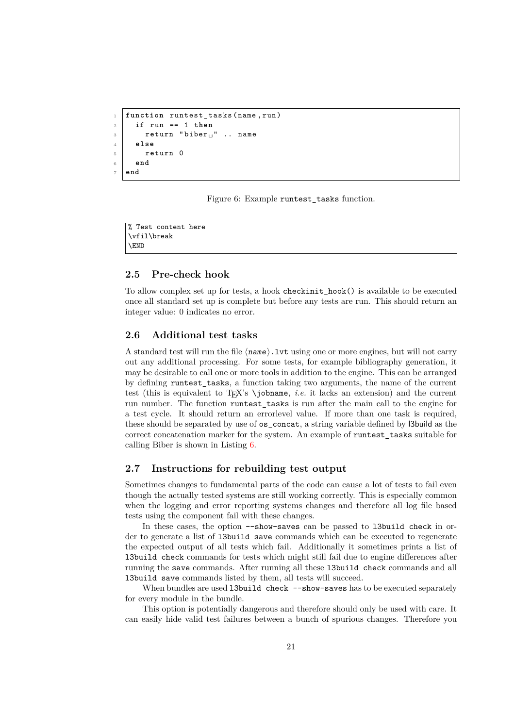```
1 function runtest_tasks (name, run)
2 if run == 1 then
3 return "biber<sub>L</sub>" .. name
4 else
5 return 0
6 end
  7 end
```
<span id="page-20-3"></span>Figure 6: Example runtest tasks function.

% Test content here \vfil\break \END

#### <span id="page-20-0"></span>**2.5 Pre-check hook**

To allow complex set up for tests, a hook checkinit\_hook() is available to be executed once all standard set up is complete but before any tests are run. This should return an integer value: 0 indicates no error.

### <span id="page-20-1"></span>**2.6 Additional test tasks**

A standard test will run the file ⟨name⟩.lvt using one or more engines, but will not carry out any additional processing. For some tests, for example bibliography generation, it may be desirable to call one or more tools in addition to the engine. This can be arranged by defining runtest\_tasks, a function taking two arguments, the name of the current test (this is equivalent to T<sub>EX</sub>'s \jobname, *i.e.* it lacks an extension) and the current run number. The function runtest\_tasks is run after the main call to the engine for a test cycle. It should return an errorlevel value. If more than one task is required, these should be separated by use of os\_concat, a string variable defined by l3build as the correct concatenation marker for the system. An example of runtest\_tasks suitable for calling Biber is shown in Listing [6.](#page-20-3)

### <span id="page-20-2"></span>**2.7 Instructions for rebuilding test output**

Sometimes changes to fundamental parts of the code can cause a lot of tests to fail even though the actually tested systems are still working correctly. This is especially common when the logging and error reporting systems changes and therefore all log file based tests using the component fail with these changes.

In these cases, the option  $--$ show-saves can be passed to 13build check in order to generate a list of l3build save commands which can be executed to regenerate the expected output of all tests which fail. Additionally it sometimes prints a list of l3build check commands for tests which might still fail due to engine differences after running the save commands. After running all these l3build check commands and all l3build save commands listed by them, all tests will succeed.

When bundles are used 13build check --show-saves has to be executed separately for every module in the bundle.

This option is potentially dangerous and therefore should only be used with care. It can easily hide valid test failures between a bunch of spurious changes. Therefore you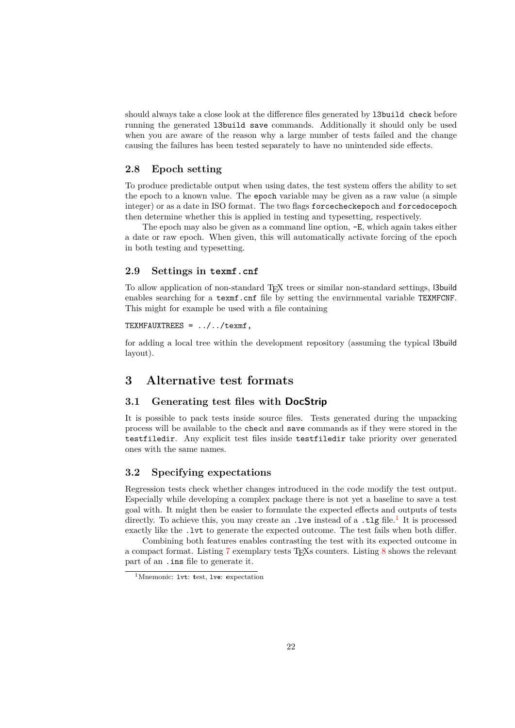should always take a close look at the difference files generated by l3build check before running the generated l3build save commands. Additionally it should only be used when you are aware of the reason why a large number of tests failed and the change causing the failures has been tested separately to have no unintended side effects.

### <span id="page-21-0"></span>**2.8 Epoch setting**

To produce predictable output when using dates, the test system offers the ability to set the epoch to a known value. The epoch variable may be given as a raw value (a simple integer) or as a date in ISO format. The two flags forcecheckepoch and forcedocepoch then determine whether this is applied in testing and typesetting, respectively.

The epoch may also be given as a command line option, -E, which again takes either a date or raw epoch. When given, this will automatically activate forcing of the epoch in both testing and typesetting.

#### <span id="page-21-1"></span>**2.9 Settings in texmf.cnf**

To allow application of non-standard TEX trees or similar non-standard settings, l3build enables searching for a texmf.cnf file by setting the envirnmental variable TEXMFCNF. This might for example be used with a file containing

#### TEXMFAUXTREES = ../../texmf,

for adding a local tree within the development repository (assuming the typical l3build layout).

### <span id="page-21-2"></span>**3 Alternative test formats**

### <span id="page-21-3"></span>**3.1 Generating test files with DocStrip**

It is possible to pack tests inside source files. Tests generated during the unpacking process will be available to the check and save commands as if they were stored in the testfiledir. Any explicit test files inside testfiledir take priority over generated ones with the same names.

### <span id="page-21-4"></span>**3.2 Specifying expectations**

Regression tests check whether changes introduced in the code modify the test output. Especially while developing a complex package there is not yet a baseline to save a test goal with. It might then be easier to formulate the expected effects and outputs of tests directly. To achieve this, you may create an .[1](#page-21-5)ve instead of a .t1g file.<sup>1</sup> It is processed exactly like the .lvt to generate the expected outcome. The test fails when both differ.

Combining both features enables contrasting the test with its expected outcome in a compact format. Listing [7](#page-22-2) exemplary tests TEXs counters. Listing [8](#page-22-3) shows the relevant part of an .ins file to generate it.

<span id="page-21-5"></span><sup>1</sup>Mnemonic: lv**t**: **t**est, lv**e**: **e**xpectation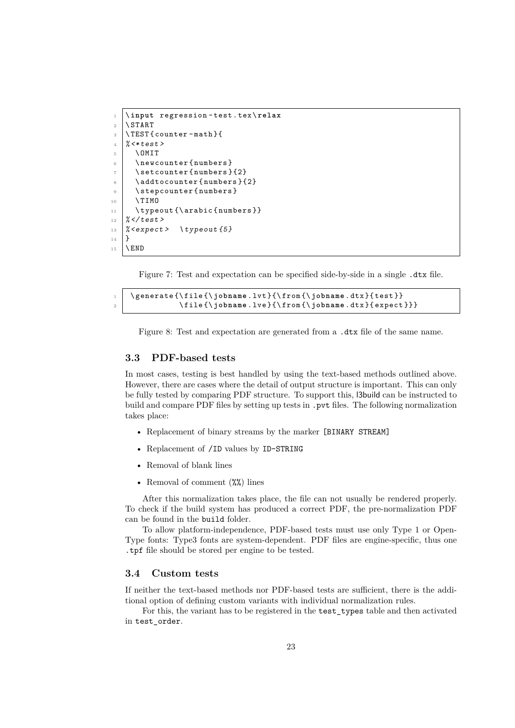```
1 \ input regression - test . tex \ relax
2 \ NSTART3 \mid \text{TEST}{ counter - math }{
4 \frac{\%}{\#}5 \ OMIT
6 \ \ \newcounter { numbers }
7 \setcounter { numbers } {2}
\vert \addtocounter {numbers } {2}
9 \ \stepcounter { numbers }
10 \ TIMO
11 \typeout {\arabic {numbers } }
12 \frac{\%}{\times} / test >
_{13} /% < expect > \ typeout {5}
14 | }
15 \mid \text{VEND}
```
<span id="page-22-2"></span>Figure 7: Test and expectation can be specified side-by-side in a single .dtx file.

```
\qquad \{ \ file\ { \ jobname.lvt} {\ from {{ \ obname .dtx}{{ \estt}} } \}2 \ file {\ jobname . lve }{\ from {\ jobname . dtx }{ expect }}}
```
<span id="page-22-3"></span>Figure 8: Test and expectation are generated from a .dtx file of the same name.

#### <span id="page-22-0"></span>**3.3 PDF-based tests**

In most cases, testing is best handled by using the text-based methods outlined above. However, there are cases where the detail of output structure is important. This can only be fully tested by comparing PDF structure. To support this, l3build can be instructed to build and compare PDF files by setting up tests in . pvt files. The following normalization takes place:

- Replacement of binary streams by the marker [BINARY STREAM]
- Replacement of /ID values by ID-STRING
- Removal of blank lines
- Removal of comment  $(\frac{\%}{\%})$  lines

After this normalization takes place, the file can not usually be rendered properly. To check if the build system has produced a correct PDF, the pre-normalization PDF can be found in the build folder.

To allow platform-independence, PDF-based tests must use only Type 1 or Open-Type fonts: Type3 fonts are system-dependent. PDF files are engine-specific, thus one .tpf file should be stored per engine to be tested.

### <span id="page-22-1"></span>**3.4 Custom tests**

If neither the text-based methods nor PDF-based tests are sufficient, there is the additional option of defining custom variants with individual normalization rules.

For this, the variant has to be registered in the test\_types table and then activated in test\_order.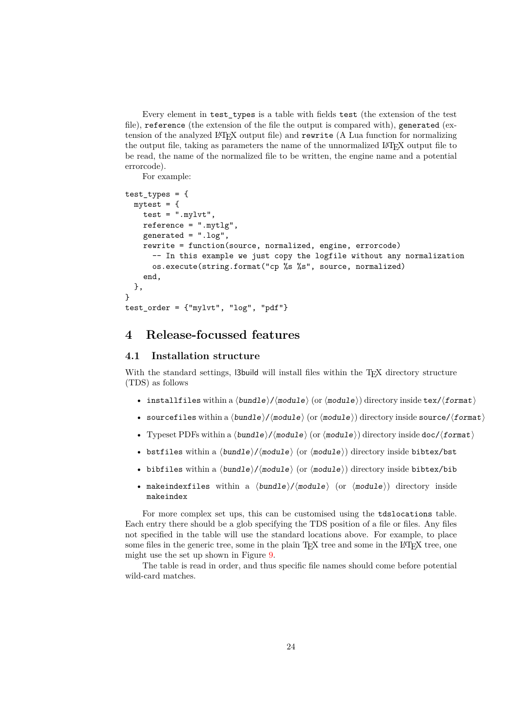Every element in test\_types is a table with fields test (the extension of the test file), reference (the extension of the file the output is compared with), generated (extension of the analyzed LATEX output file) and rewrite (A Lua function for normalizing the output file, taking as parameters the name of the unnormalized LATEX output file to be read, the name of the normalized file to be written, the engine name and a potential errorcode).

For example:

```
test types = {m\nutest = {
    test = "mylvt",reference = ".mytlg",
    generated = ".log",
    rewrite = function(source, normalized, engine, errorcode)
      -- In this example we just copy the logfile without any normalization
      os.execute(string.format("cp %s %s", source, normalized)
    end,
  },
}
test-order = {\texttt{"mylvt", "log", "pdf"}}
```
### <span id="page-23-0"></span>**4 Release-focussed features**

### <span id="page-23-1"></span>**4.1 Installation structure**

With the standard settings, 13build will install files within the T<sub>E</sub>X directory structure (TDS) as follows

- installfiles within a ⟨bundle⟩/⟨module⟩ (or ⟨module⟩) directory inside tex/⟨format⟩
- sourcefiles within a  $\langle bundle \rangle / \langle module \rangle$  (or  $\langle module \rangle$ ) directory inside source/ $\langle format \rangle$
- Typeset PDFs within a ⟨bundle⟩/⟨module⟩ (or ⟨module⟩) directory inside doc/⟨format⟩
- bstfiles within a  $\langle bundle \rangle / \langle module \rangle$  (or  $\langle module \rangle$ ) directory inside bibtex/bst
- bibfiles within a  $\langle bundle \rangle / \langle module \rangle$  (or  $\langle module \rangle$ ) directory inside bibtex/bib
- makeindexfiles within a  $\langle bundle \rangle / \langle module \rangle$  (or  $\langle module \rangle$ ) directory inside makeindex

For more complex set ups, this can be customised using the tdslocations table. Each entry there should be a glob specifying the TDS position of a file or files. Any files not specified in the table will use the standard locations above. For example, to place some files in the generic tree, some in the plain TFX tree and some in the L<sup>AT</sup>FX tree, one might use the set up shown in Figure [9.](#page-24-2)

The table is read in order, and thus specific file names should come before potential wild-card matches.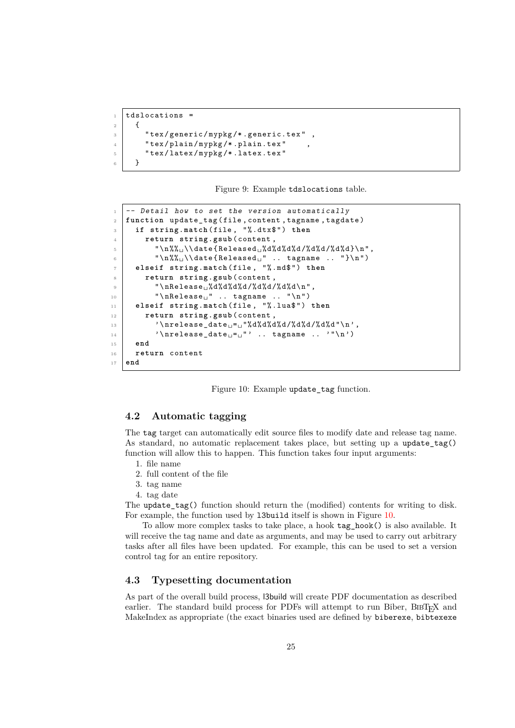```
1 tdslocations =
2 \mid \cdot \cdot \cdot \cdot \cdot\overline{a} \overline{a} \overline{b} \overline{c} \overline{c} \overline{c} \overline{c} \overline{c} \overline{c} \overline{c} \overline{c} \overline{c} \overline{c} \overline{c} \overline{c} \overline{c} \overline{c} \overline{c} \overline{c} \overline{c} \overline{c} \overline{c} \overline{c} \overline{c} \overline{4 | "tex/plain/mypkg/*.plain.tex"
5 " tex / latex / mypkg /* .latex.tex "
6 }
```
<span id="page-24-2"></span>Figure 9: Example tdslocations table.

```
1 \vert -- Detail how to set the version automatically
2 function update_tag ( file , content , tagname , tagdate )
3 if string.match (file, "%.dtx$") then
4 return string.gsub ( content ,
\sigma \sim " \n%%\sim \ \ date {Released \sim % d%d%d/%d%d/%d%d} \n ",
6 \vert " \n%%\vert \ \ date { Released \vert" .. tagname .. " } \ n " )
7 elseif string.match ( file , " % .md$ " ) then
8 return string.gsub (content,
\Box " \nRelease\Box%d%d%d%d/%d%d/%d%d\n",
10 \mathbb{R} \mathbb{R} \mathbb{R} \mathbb{R} \mathbb{R} \mathbb{R} \mathbb{R} \mathbb{R} \mathbb{R} \mathbb{R} \mathbb{R} \mathbb{R} \mathbb{R} \mathbb{R} \mathbb{R} \mathbb{R} \mathbb{R} \mathbb{R} \mathbb{R} \mathbb{R} \mathbb{R} \mathbb{R} \mathbb{R} \mathbb{R} 
11 elseif string.match (file, "%.lua$") then
12 return string.gsub (content,
13 | \lambda '\nrelease_date _= _ "%d%d%d%d/%d%d/%d%d"\n',
14 \langle '\nrelease_date ^{-1} .. tagname .. '"\n')
15 end
16 return content
17 end
```
<span id="page-24-3"></span>Figure 10: Example update tag function.

#### <span id="page-24-0"></span>**4.2 Automatic tagging**

The tag target can automatically edit source files to modify date and release tag name. As standard, no automatic replacement takes place, but setting up a update\_tag() function will allow this to happen. This function takes four input arguments:

- 1. file name
- 2. full content of the file
- 3. tag name
- 4. tag date

The update  $tag()$  function should return the (modified) contents for writing to disk. For example, the function used by l3build itself is shown in Figure [10.](#page-24-3)

To allow more complex tasks to take place, a hook tag\_hook() is also available. It will receive the tag name and date as arguments, and may be used to carry out arbitrary tasks after all files have been updated. For example, this can be used to set a version control tag for an entire repository.

### <span id="page-24-1"></span>**4.3 Typesetting documentation**

As part of the overall build process, l3build will create PDF documentation as described earlier. The standard build process for PDFs will attempt to run Biber,  $BIBT<sub>F</sub>X$  and MakeIndex as appropriate (the exact binaries used are defined by biberexe, bibtexexe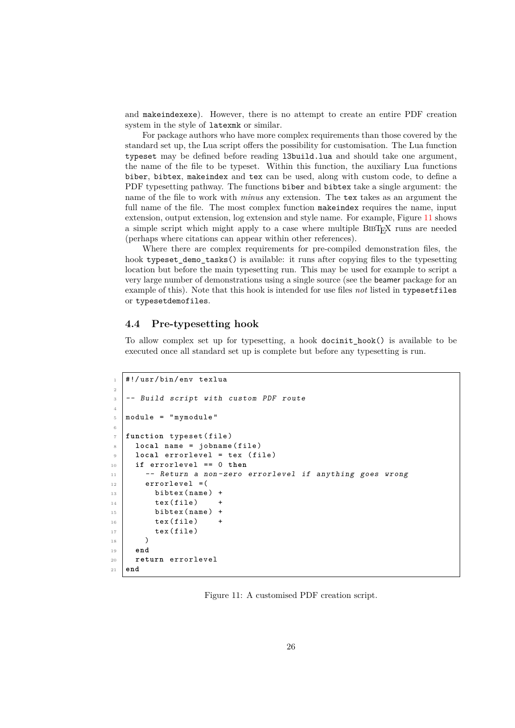and makeindexexe). However, there is no attempt to create an entire PDF creation system in the style of latexmk or similar.

For package authors who have more complex requirements than those covered by the standard set up, the Lua script offers the possibility for customisation. The Lua function typeset may be defined before reading l3build.lua and should take one argument, the name of the file to be typeset. Within this function, the auxiliary Lua functions biber, bibtex, makeindex and tex can be used, along with custom code, to define a PDF typesetting pathway. The functions biber and bibtex take a single argument: the name of the file to work with *minus* any extension. The tex takes as an argument the full name of the file. The most complex function makeindex requires the name, input extension, output extension, log extension and style name. For example, Figure [11](#page-25-1) shows a simple script which might apply to a case where multiple BIBT<sub>E</sub>X runs are needed (perhaps where citations can appear within other references).

Where there are complex requirements for pre-compiled demonstration files, the hook typeset demo tasks() is available: it runs after copying files to the typesetting location but before the main typesetting run. This may be used for example to script a very large number of demonstrations using a single source (see the beamer package for an example of this). Note that this hook is intended for use files *not* listed in typesetfiles or typesetdemofiles.

#### <span id="page-25-0"></span>**4.4 Pre-typesetting hook**

To allow complex set up for typesetting, a hook docinit\_hook() is available to be executed once all standard set up is complete but before any typesetting is run.

```
1 #!/usr/bin/env texlua
2
3 -- Build script with custom PDF route
4
5 module = "mymodule"
6
7 function typeset ( file )
8 local name = jobname (file)
9 local errorlevel = tex (file)
10 if errorlevel == 0 then
11 | -- Return a non-zero errorlevel if anything goes wrong
_{12} errorlevel = (
13 bibtex (name) +
14 tex (file) +
15 bibtex (name) +
16 tex (file) +
17 tex (file)
\frac{18}{18} )
19 end
20 return errorlevel
21 end
```
<span id="page-25-1"></span>Figure 11: A customised PDF creation script.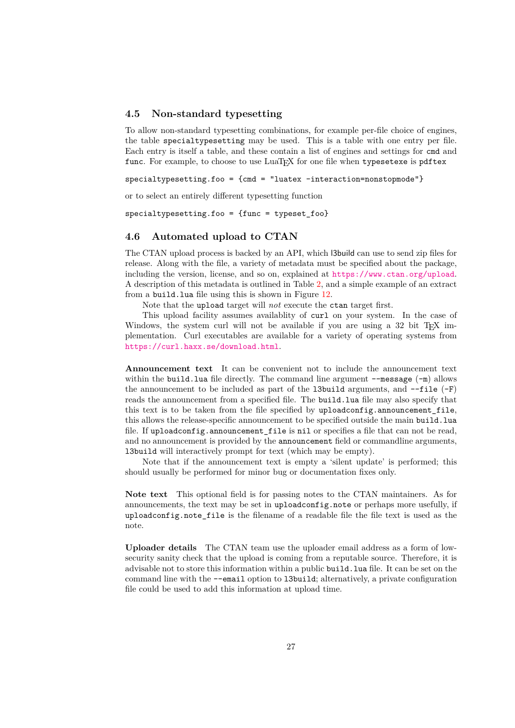#### <span id="page-26-0"></span>**4.5 Non-standard typesetting**

To allow non-standard typesetting combinations, for example per-file choice of engines, the table specialtypesetting may be used. This is a table with one entry per file. Each entry is itself a table, and these contain a list of engines and settings for cmd and func. For example, to choose to use LuaT<sub>EX</sub> for one file when typesetexe is pdftex

 $spectting.foo = {cmd = "luatex -interaction=nonstopmode" }$ 

or to select an entirely different typesetting function

specialtypesetting.foo = {func = typeset\_foo}

#### <span id="page-26-1"></span>**4.6 Automated upload to CTAN**

The CTAN upload process is backed by an API, which l3build can use to send zip files for release. Along with the file, a variety of metadata must be specified about the package, including the version, license, and so on, explained at <https://www.ctan.org/upload>. A description of this metadata is outlined in Table [2,](#page-28-0) and a simple example of an extract from a build.lua file using this is shown in Figure [12.](#page-28-1)

Note that the upload target will *not* execute the ctan target first.

This upload facility assumes availablity of curl on your system. In the case of Windows, the system curl will not be available if you are using a  $32$  bit T<sub>E</sub>X implementation. Curl executables are available for a variety of operating systems from <https://curl.haxx.se/download.html>.

**Announcement text** It can be convenient not to include the announcement text within the build.lua file directly. The command line argument  $-\text{message }(-\text{m})$  allows the announcement to be included as part of the 13build arguments, and  $-\text{file}(-F)$ reads the announcement from a specified file. The build.lua file may also specify that this text is to be taken from the file specified by uploadconfig.announcement\_file, this allows the release-specific announcement to be specified outside the main build.lua file. If uploadconfig.announcement\_file is nil or specifies a file that can not be read, and no announcement is provided by the announcement field or commandline arguments, l3build will interactively prompt for text (which may be empty).

Note that if the announcement text is empty a 'silent update' is performed; this should usually be performed for minor bug or documentation fixes only.

**Note text** This optional field is for passing notes to the CTAN maintainers. As for announcements, the text may be set in uploadconfig.note or perhaps more usefully, if uploadconfig.note\_file is the filename of a readable file the file text is used as the note.

**Uploader details** The CTAN team use the uploader email address as a form of lowsecurity sanity check that the upload is coming from a reputable source. Therefore, it is advisable not to store this information within a public build.lua file. It can be set on the command line with the --email option to l3build; alternatively, a private configuration file could be used to add this information at upload time.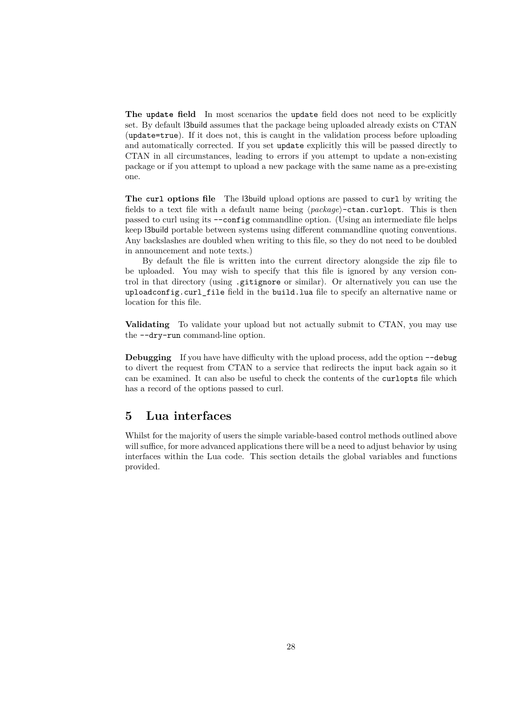**The update field** In most scenarios the update field does not need to be explicitly set. By default l3build assumes that the package being uploaded already exists on CTAN (update=true). If it does not, this is caught in the validation process before uploading and automatically corrected. If you set update explicitly this will be passed directly to CTAN in all circumstances, leading to errors if you attempt to update a non-existing package or if you attempt to upload a new package with the same name as a pre-existing one.

**The curl options file** The l3build upload options are passed to curl by writing the fields to a text file with a default name being ⟨*package*⟩-ctan.curlopt. This is then passed to curl using its --config commandline option. (Using an intermediate file helps keep l3build portable between systems using different commandline quoting conventions. Any backslashes are doubled when writing to this file, so they do not need to be doubled in announcement and note texts.)

By default the file is written into the current directory alongside the zip file to be uploaded. You may wish to specify that this file is ignored by any version control in that directory (using .gitignore or similar). Or alternatively you can use the uploadconfig.curl\_file field in the build.lua file to specify an alternative name or location for this file.

**Validating** To validate your upload but not actually submit to CTAN, you may use the --dry-run command-line option.

**Debugging** If you have have difficulty with the upload process, add the option  $-\text{debug}$ to divert the request from CTAN to a service that redirects the input back again so it can be examined. It can also be useful to check the contents of the curlopts file which has a record of the options passed to curl.

### <span id="page-27-0"></span>**5 Lua interfaces**

Whilst for the majority of users the simple variable-based control methods outlined above will suffice, for more advanced applications there will be a need to adjust behavior by using interfaces within the Lua code. This section details the global variables and functions provided.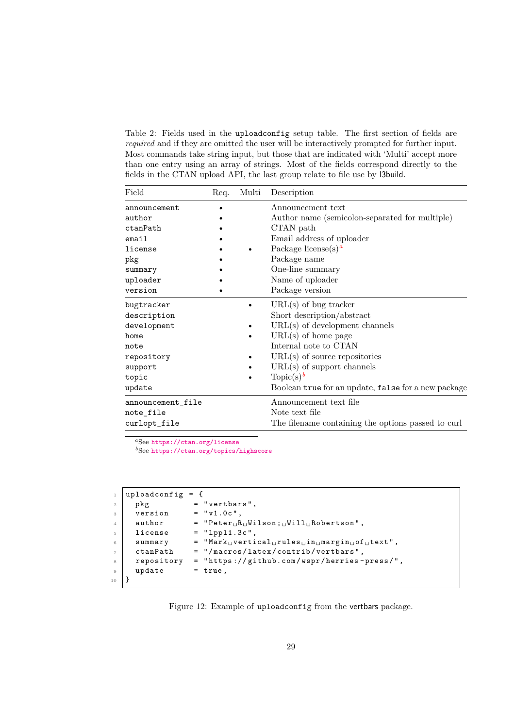<span id="page-28-0"></span>Table 2: Fields used in the uploadconfig setup table. The first section of fields are *required* and if they are omitted the user will be interactively prompted for further input. Most commands take string input, but those that are indicated with 'Multi' accept more than one entry using an array of strings. Most of the fields correspond directly to the fields in the CTAN upload API, the last group relate to file use by l3build.

| Field                                                                                                | Req. | Multi | Description                                                                                                                                                                                                                                                                                    |
|------------------------------------------------------------------------------------------------------|------|-------|------------------------------------------------------------------------------------------------------------------------------------------------------------------------------------------------------------------------------------------------------------------------------------------------|
| announcement<br>author<br>ctanPath<br>email<br>license<br>pkg<br>summary<br>uploader                 |      |       | Announcement text<br>Author name (semicolon-separated for multiple)<br>CTAN path<br>Email address of uploader<br>Package license(s) <sup>a</sup><br>Package name<br>One-line summary<br>Name of uploader                                                                                       |
| version                                                                                              |      |       | Package version                                                                                                                                                                                                                                                                                |
| bugtracker<br>description<br>development<br>home<br>note<br>repository<br>support<br>topic<br>update |      |       | $URL(s)$ of bug tracker<br>Short description/abstract<br>$URL(s)$ of development channels<br>$URL(s)$ of home page<br>Internal note to CTAN<br>$URL(s)$ of source repositories<br>$URL(s)$ of support channels<br>Topic(s) <sup>b</sup><br>Boolean true for an update, false for a new package |
| announcement_file<br>note_file<br>curlopt_file                                                       |      |       | Announcement text file<br>Note text file<br>The filename containing the options passed to curl                                                                                                                                                                                                 |

<span id="page-28-2"></span>*<sup>a</sup>*See <https://ctan.org/license>

<span id="page-28-3"></span>*b*See <https://ctan.org/topics/highscore>

|                | uploadconfig = $\{$ |                                                                                               |
|----------------|---------------------|-----------------------------------------------------------------------------------------------|
| <sup>2</sup>   | pkg                 | $=$ "vertbars",                                                                               |
| $\mathcal{R}$  | version             | $= "v1.0c",$                                                                                  |
| $\overline{4}$ | author              | $=$ "Peter <sub>11</sub> R <sub>11</sub> Wilson; <sub>11</sub> Will <sub>11</sub> Robertson", |
| $\sim$         | license             | $=$ "lpp11.3c",                                                                               |
| 6              | summary             | $=$ "Mark $_U$ vertical $_U$ rules $_U$ in $_U$ margin $_U$ of $_U$ text",                    |
| $\overline{7}$ | ctanPath            | = "/macros/latex/contrib/vertbars",                                                           |
| $\mathcal{R}$  | repository          | = "https://github.com/wspr/herries-press/",                                                   |
| $\overline{9}$ | update              | $=$ true,                                                                                     |
| 10             |                     |                                                                                               |

<span id="page-28-1"></span>Figure 12: Example of uploadconfig from the vertbars package.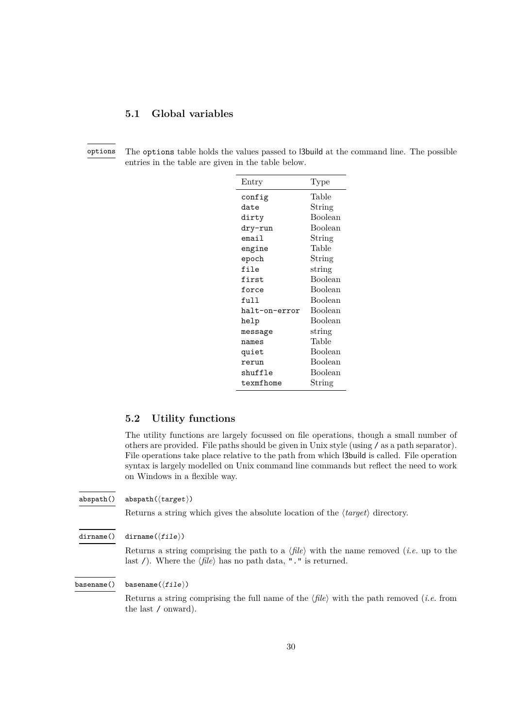### <span id="page-29-2"></span><span id="page-29-0"></span>**5.1 Global variables**

options

The options table holds the values passed to l3build at the command line. The possible entries in the table are given in the table below.

| Entry         | Type           |
|---------------|----------------|
| config        | Table          |
| date          | String         |
| dirty         | <b>Boolean</b> |
| dry-run       | <b>Boolean</b> |
| email         | String         |
| engine        | Table          |
| epoch         | String         |
| file          | string         |
| first         | Boolean        |
| force         | Boolean        |
| $f$ 11]]      | <b>Boolean</b> |
| halt-on-error | Boolean        |
| help          | <b>Boolean</b> |
| message       | string         |
| names         | Table          |
| quiet         | Boolean        |
| rerun         | Boolean        |
| shuffle       | Boolean        |
| texmfhome     | String         |

#### <span id="page-29-1"></span>**5.2 Utility functions**

The utility functions are largely focussed on file operations, though a small number of others are provided. File paths should be given in Unix style (using / as a path separator). File operations take place relative to the path from which l3build is called. File operation syntax is largely modelled on Unix command line commands but reflect the need to work on Windows in a flexible way.

abspath(⟨target⟩) abspath()

Returns a string which gives the absolute location of the ⟨*target*⟩ directory.

dirname( $\langle$ file $\rangle$ ) dirname()

> Returns a string comprising the path to a ⟨*file*⟩ with the name removed (*i.e.* up to the last /). Where the  $\langle file \rangle$  has no path data, "." is returned.

basename $(\langle file \rangle)$ basename()

> Returns a string comprising the full name of the ⟨*file*⟩ with the path removed (*i.e.* from the last / onward).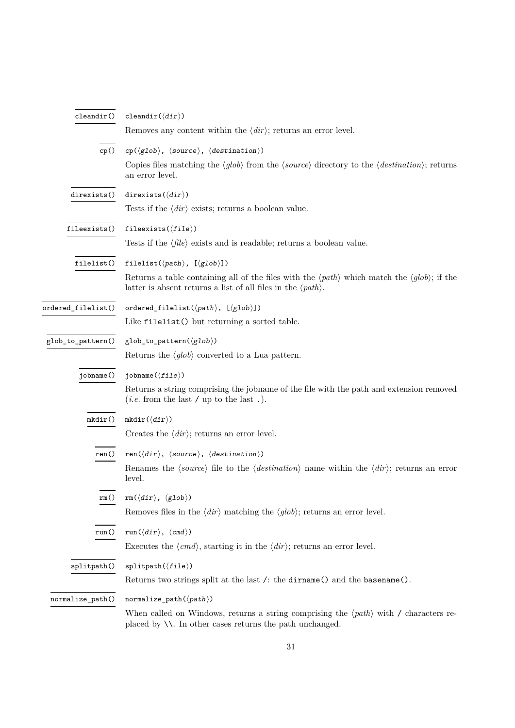<span id="page-30-0"></span>

| cleandir()         | cleandir( $\langle dir \rangle$ )                                                                                                                                                                           |  |  |  |
|--------------------|-------------------------------------------------------------------------------------------------------------------------------------------------------------------------------------------------------------|--|--|--|
|                    | Removes any content within the $\langle \text{dir} \rangle$ ; returns an error level.                                                                                                                       |  |  |  |
| cp()               | $cp(\langle glob \rangle, \langle source \rangle, \langle destination \rangle)$                                                                                                                             |  |  |  |
|                    | Copies files matching the $\langle glob \rangle$ from the $\langle source \rangle$ directory to the $\langle destination \rangle$ ; returns<br>an error level.                                              |  |  |  |
| direxists()        | direxists $(\langle dir \rangle)$                                                                                                                                                                           |  |  |  |
|                    | Tests if the $\langle \text{dir} \rangle$ exists; returns a boolean value.                                                                                                                                  |  |  |  |
| fileexists()       | fileexists( $\langle file \rangle$ )                                                                                                                                                                        |  |  |  |
|                    | Tests if the $\langle file \rangle$ exists and is readable; returns a boolean value.                                                                                                                        |  |  |  |
| filelist()         | filelist( $\langle path \rangle$ , [ $\langle glob \rangle$ ])                                                                                                                                              |  |  |  |
|                    | Returns a table containing all of the files with the $\langle path \rangle$ which match the $\langle glob \rangle$ ; if the<br>latter is absent returns a list of all files in the $\langle path \rangle$ . |  |  |  |
| ordered_filelist() | ordered_filelist( $\langle path \rangle$ , [ $\langle glob \rangle$ ])                                                                                                                                      |  |  |  |
|                    | Like filelist() but returning a sorted table.                                                                                                                                                               |  |  |  |
| glob_to_pattern()  | $glob_to_pattern(\langle glob \rangle)$                                                                                                                                                                     |  |  |  |
|                    | Returns the $\langle glob \rangle$ converted to a Lua pattern.                                                                                                                                              |  |  |  |
| jobname()          | jobname $(\langle file \rangle)$                                                                                                                                                                            |  |  |  |
|                    | Returns a string comprising the jobname of the file with the path and extension removed<br>( <i>i.e.</i> from the last / up to the last.).                                                                  |  |  |  |
| $m$ kdir $()$      | $m$ kdir $(\langle dir \rangle)$                                                                                                                                                                            |  |  |  |
|                    | Creates the $\langle \text{dir} \rangle$ ; returns an error level.                                                                                                                                          |  |  |  |
| ren()              | ren $(\langle dir \rangle, \langle source \rangle, \langle destination \rangle)$                                                                                                                            |  |  |  |
|                    | Renames the $\langle source \rangle$ file to the $\langle destination \rangle$ name within the $\langle dir \rangle$ ; returns an error<br>level.                                                           |  |  |  |
| rm()               | $rm(\langle dir \rangle, \langle glob \rangle)$                                                                                                                                                             |  |  |  |
|                    | Removes files in the $\langle \text{dir} \rangle$ matching the $\langle \text{glob} \rangle$ ; returns an error level.                                                                                      |  |  |  |
| run()              | $run(\langle dir \rangle, \langle cmd \rangle)$                                                                                                                                                             |  |  |  |
|                    | Executes the $\langle cmd\rangle$ , starting it in the $\langle dir\rangle$ ; returns an error level.                                                                                                       |  |  |  |
| splitpath()        | $splitpath(\langle file \rangle)$                                                                                                                                                                           |  |  |  |
|                    | Returns two strings split at the last /: the dirname() and the basename().                                                                                                                                  |  |  |  |
| normalize_path()   | $normalize\_path(\langle path \rangle)$                                                                                                                                                                     |  |  |  |
|                    | When called on Windows, returns a string comprising the $\langle path \rangle$ with / characters re-<br>placed by $\setminus\setminus$ . In other cases returns the path unchanged.                         |  |  |  |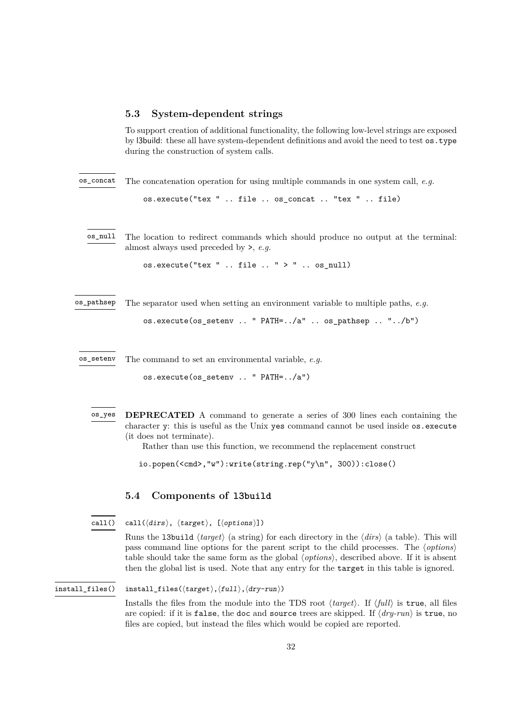#### <span id="page-31-2"></span><span id="page-31-0"></span>**5.3 System-dependent strings**

To support creation of additional functionality, the following low-level strings are exposed by l3build: these all have system-dependent definitions and avoid the need to test os.type during the construction of system calls.

The concatenation operation for using multiple commands in one system call, *e.g.* os\_concat

os.execute("tex " .. file .. os\_concat .. "tex " .. file)

The location to redirect commands which should produce no output at the terminal: almost always used preceded by >, *e.g.* os\_null

os.execute("tex " .. file  $\ldots$  " > " .. os null)

The separator used when setting an environment variable to multiple paths, *e.g.* os\_pathsep

os.execute(os\_setenv .. " PATH=../a" .. os\_pathsep .. "../b")

The command to set an environmental variable, *e.g.* os\_setenv

os.execute(os\_setenv .. " PATH=../a")

**DEPRECATED** A command to generate a series of 300 lines each containing the character y: this is useful as the Unix yes command cannot be used inside os.execute (it does not terminate). os\_yes

Rather than use this function, we recommend the replacement construct

io.popen(<cmd>,"w"):write(string.rep("y\n", 300)):close()

### <span id="page-31-1"></span>**5.4 Components of l3build**

```
call(⟨dirs⟩, ⟨target⟩, [⟨options⟩])
call()
```
Runs the l3build ⟨*target*⟩ (a string) for each directory in the ⟨*dirs*⟩ (a table). This will pass command line options for the parent script to the child processes. The ⟨*options*⟩ table should take the same form as the global ⟨*options*⟩, described above. If it is absent then the global list is used. Note that any entry for the target in this table is ignored.

#### install\_files(⟨target⟩,⟨full⟩,⟨dry-run⟩) install\_files()

Installs the files from the module into the TDS root ⟨*target*⟩. If ⟨*full*⟩ is true, all files are copied: if it is false, the doc and source trees are skipped. If ⟨*dry-run*⟩ is true, no files are copied, but instead the files which would be copied are reported.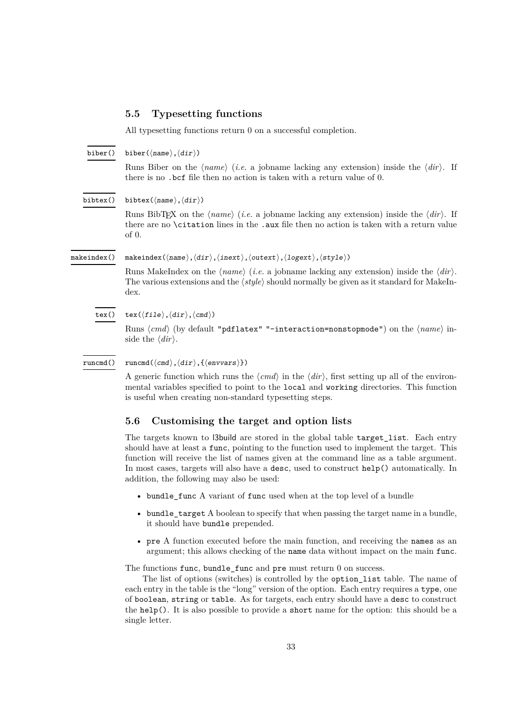#### <span id="page-32-2"></span><span id="page-32-0"></span>**5.5 Typesetting functions**

All typesetting functions return 0 on a successful completion.

biber(⟨name⟩,⟨dir⟩) biber()

> Runs Biber on the ⟨*name*⟩ (*i.e.* a jobname lacking any extension) inside the ⟨*dir*⟩. If there is no .bcf file then no action is taken with a return value of 0.

bibtex(⟨name⟩,⟨dir⟩) bibtex()

> Runs BibTEX on the ⟨*name*⟩ (*i.e.* a jobname lacking any extension) inside the ⟨*dir*⟩. If there are no \citation lines in the .aux file then no action is taken with a return value of 0.

makeindex()

makeindex(⟨name⟩,⟨dir⟩,⟨inext⟩,⟨outext⟩,⟨logext⟩,⟨style⟩)

Runs MakeIndex on the ⟨*name*⟩ (*i.e.* a jobname lacking any extension) inside the ⟨*dir*⟩. The various extensions and the ⟨*style*⟩ should normally be given as it standard for MakeIndex.

 $text{text}(\langle file \rangle, \langle dir \rangle, \langle cmd \rangle)$ tex()

> Runs ⟨*cmd*⟩ (by default "pdflatex" "-interaction=nonstopmode") on the ⟨*name*⟩ inside the ⟨*dir*⟩.

runcmd $(\langle \text{cmd}\rangle, \langle \text{dir}\rangle, \{\langle \text{envvars}\rangle\})$ runcmd()

> A generic function which runs the ⟨*cmd*⟩ in the ⟨*dir*⟩, first setting up all of the environmental variables specified to point to the local and working directories. This function is useful when creating non-standard typesetting steps.

#### <span id="page-32-1"></span>**5.6 Customising the target and option lists**

The targets known to l3build are stored in the global table target\_list. Each entry should have at least a func, pointing to the function used to implement the target. This function will receive the list of names given at the command line as a table argument. In most cases, targets will also have a desc, used to construct help() automatically. In addition, the following may also be used:

- bundle\_func A variant of func used when at the top level of a bundle
- bundle\_target A boolean to specify that when passing the target name in a bundle, it should have bundle prepended.
- pre A function executed before the main function, and receiving the names as an argument; this allows checking of the name data without impact on the main func.

The functions func, bundle\_func and pre must return 0 on success.

The list of options (switches) is controlled by the option\_list table. The name of each entry in the table is the "long" version of the option. Each entry requires a type, one of boolean, string or table. As for targets, each entry should have a desc to construct the  $help()$ . It is also possible to provide a short name for the option: this should be a single letter.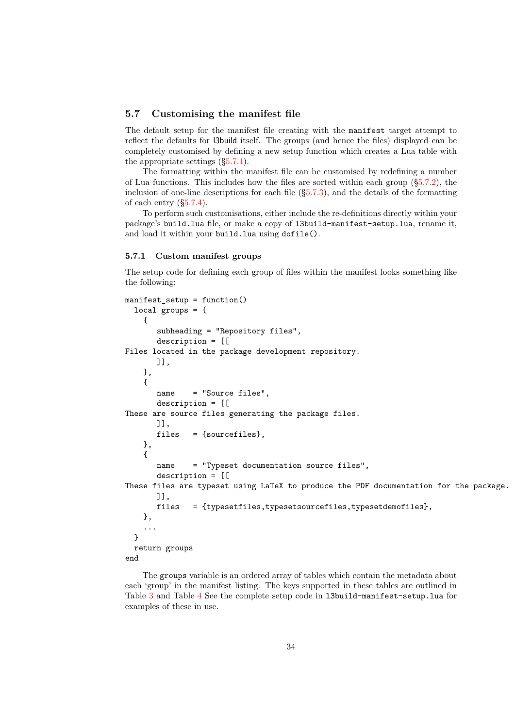#### <span id="page-33-0"></span>**5.7 Customising the manifest file**

The default setup for the manifest file creating with the manifest target attempt to reflect the defaults for l3build itself. The groups (and hence the files) displayed can be completely customised by defining a new setup function which creates a Lua table with the appropriate settings ([§5.7.1\)](#page-33-1).

The formatting within the manifest file can be customised by redefining a number of Lua functions. This includes how the files are sorted within each group ([§5.7.2\)](#page-34-0), the inclusion of one-line descriptions for each file ([§5.7.3\)](#page-35-0), and the details of the formatting of each entry ([§5.7.4\)](#page-35-1).

To perform such customisations, either include the re-definitions directly within your package's build.lua file, or make a copy of l3build-manifest-setup.lua, rename it, and load it within your build.lua using dofile().

#### <span id="page-33-1"></span>**5.7.1 Custom manifest groups**

The setup code for defining each group of files within the manifest looks something like the following:

```
manifest_setup = function()
  local groups = {
    {
       subheading = "Repository files",
       description = [[
Files located in the package development repository.
       ]],
   },
    {
       name = "Source files",
       description = [[
These are source files generating the package files.
       ]],
       files = {sourcefiles}.},
    {
       name = "Typeset documentation source files",
       description = [[
These files are typeset using LaTeX to produce the PDF documentation for the package.
       ]],
       files = {typesetfiles,typesetsourcefiles,typesetdemofiles},
    },
    ...
  }
  return groups
end
```
The groups variable is an ordered array of tables which contain the metadata about each 'group' in the manifest listing. The keys supported in these tables are outlined in Table [3](#page-34-1) and Table [4](#page-34-2) See the complete setup code in l3build-manifest-setup.lua for examples of these in use.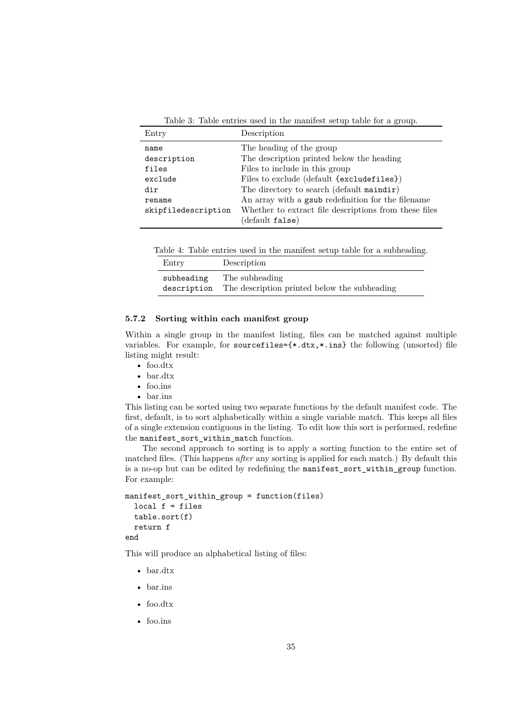<span id="page-34-1"></span>Table 3: Table entries used in the manifest setup table for a group.

| Entry               | Description                                           |
|---------------------|-------------------------------------------------------|
| name                | The heading of the group                              |
| description         | The description printed below the heading             |
| files               | Files to include in this group                        |
| exclude             | Files to exclude (default {excludefiles})             |
| dir                 | The directory to search (default maindir)             |
| rename              | An array with a gsub redefinition for the filename    |
| skipfiledescription | Whether to extract file descriptions from these files |
|                     | $(\text{default false})$                              |

<span id="page-34-2"></span>Table 4: Table entries used in the manifest setup table for a subheading.

| Entry       | Description                                  |
|-------------|----------------------------------------------|
| subheading  | The subheading                               |
| description | The description printed below the subheading |

#### <span id="page-34-0"></span>**5.7.2 Sorting within each manifest group**

Within a single group in the manifest listing, files can be matched against multiple variables. For example, for sourcefiles= $\{*, \text{dx},*, \text{ins}\}\$  the following (unsorted) file listing might result:

- foo.dtx
- bar.dtx
- foo.ins
- bar.ins

This listing can be sorted using two separate functions by the default manifest code. The first, default, is to sort alphabetically within a single variable match. This keeps all files of a single extension contiguous in the listing. To edit how this sort is performed, redefine the manifest\_sort\_within\_match function.

The second approach to sorting is to apply a sorting function to the entire set of matched files. (This happens *after* any sorting is applied for each match.) By default this is a no-op but can be edited by redefining the manifest\_sort\_within\_group function. For example:

```
manifest_sort_within_group = function(files)
  local f = filestable.sort(f)
 return f
end
```
This will produce an alphabetical listing of files:

- bar.dtx
- bar.ins
- foo.dtx
- foo.ins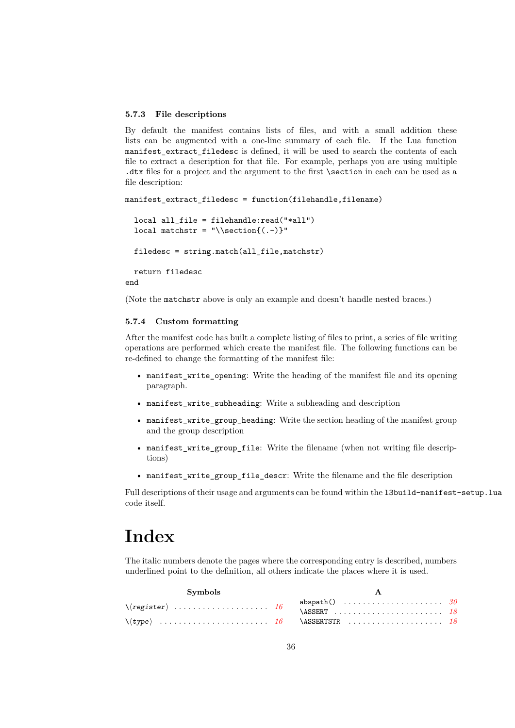#### <span id="page-35-0"></span>**5.7.3 File descriptions**

By default the manifest contains lists of files, and with a small addition these lists can be augmented with a one-line summary of each file. If the Lua function manifest\_extract\_filedesc is defined, it will be used to search the contents of each file to extract a description for that file. For example, perhaps you are using multiple .dtx files for a project and the argument to the first \section in each can be used as a file description:

```
manifest_extract_filedesc = function(filehandle,filename)
  local all_file = filehandle:read("*all")
  local matchstr = "\text{section}{(.-)}"
  filedesc = string.match(all_file,matchstr)
  return filedesc
end
```
(Note the matchstr above is only an example and doesn't handle nested braces.)

#### <span id="page-35-1"></span>**5.7.4 Custom formatting**

After the manifest code has built a complete listing of files to print, a series of file writing operations are performed which create the manifest file. The following functions can be re-defined to change the formatting of the manifest file:

- manifest\_write\_opening: Write the heading of the manifest file and its opening paragraph.
- manifest write subheading: Write a subheading and description
- manifest\_write\_group\_heading: Write the section heading of the manifest group and the group description
- manifest\_write\_group\_file: Write the filename (when not writing file descriptions)
- manifest\_write\_group\_file\_descr: Write the filename and the file description

Full descriptions of their usage and arguments can be found within the l3build-manifest-setup.lua code itself.

# <span id="page-35-2"></span>**Index**

The italic numbers denote the pages where the corresponding entry is described, numbers underlined point to the definition, all others indicate the places where it is used.

| Symbols |  |  |  |  |
|---------|--|--|--|--|
|         |  |  |  |  |
|         |  |  |  |  |
|         |  |  |  |  |